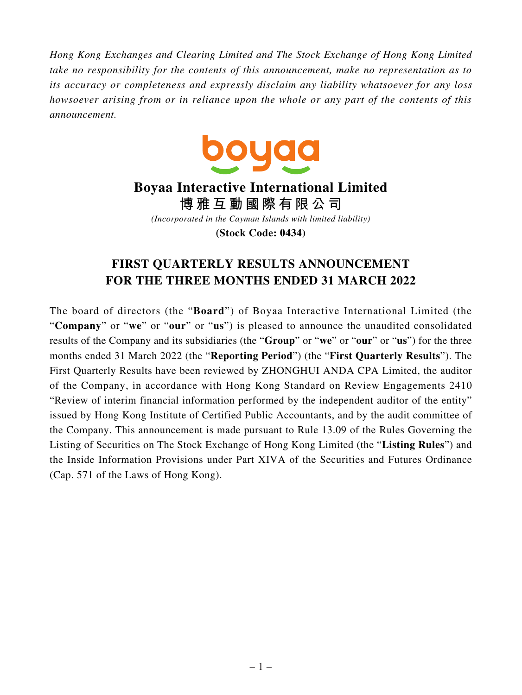*Hong Kong Exchanges and Clearing Limited and The Stock Exchange of Hong Kong Limited take no responsibility for the contents of this announcement, make no representation as to its accuracy or completeness and expressly disclaim any liability whatsoever for any loss howsoever arising from or in reliance upon the whole or any part of the contents of this announcement.*



# **Boyaa Interactive International Limited 博雅互動國際有限公司** *(Incorporated in the Cayman Islands with limited liability)* **(Stock Code: 0434)**

# **FIRST QUARTERLY RESULTS ANNOUNCEMENT FOR THE THREE MONTHS ENDED 31 MARCH 2022**

The board of directors (the "**Board**") of Boyaa Interactive International Limited (the "**Company**" or "**we**" or "**our**" or "**us**") is pleased to announce the unaudited consolidated results of the Company and its subsidiaries (the "**Group**" or "**we**" or "**our**" or "**us**") for the three months ended 31 March 2022 (the "**Reporting Period**") (the "**First Quarterly Results**"). The First Quarterly Results have been reviewed by ZHONGHUI ANDA CPA Limited, the auditor of the Company, in accordance with Hong Kong Standard on Review Engagements 2410 "Review of interim financial information performed by the independent auditor of the entity" issued by Hong Kong Institute of Certified Public Accountants, and by the audit committee of the Company. This announcement is made pursuant to Rule 13.09 of the Rules Governing the Listing of Securities on The Stock Exchange of Hong Kong Limited (the "**Listing Rules**") and the Inside Information Provisions under Part XIVA of the Securities and Futures Ordinance (Cap. 571 of the Laws of Hong Kong).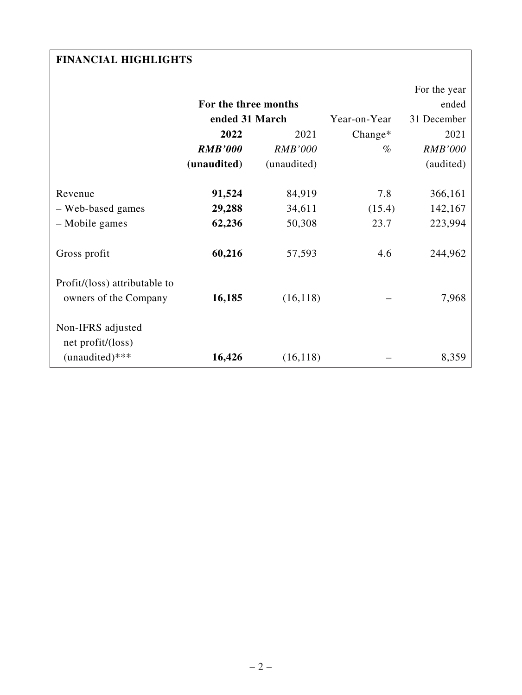# **FINANCIAL HIGHLIGHTS**

|                                                        |                      |                |              | For the year   |
|--------------------------------------------------------|----------------------|----------------|--------------|----------------|
|                                                        | For the three months |                |              | ended          |
|                                                        | ended 31 March       |                | Year-on-Year | 31 December    |
|                                                        | 2022                 | 2021           |              | 2021           |
|                                                        | <b>RMB'000</b>       | <b>RMB'000</b> | $\%$         | <b>RMB'000</b> |
|                                                        | (unaudited)          | (unaudited)    |              | (audited)      |
|                                                        |                      |                |              |                |
| Revenue                                                | 91,524               | 84,919         | 7.8          | 366,161        |
| - Web-based games                                      | 29,288               | 34,611         | (15.4)       | 142,167        |
| - Mobile games                                         | 62,236               | 50,308         | 23.7         | 223,994        |
| Gross profit                                           | 60,216               | 57,593         | 4.6          | 244,962        |
| Profit/(loss) attributable to<br>owners of the Company | 16,185               | (16, 118)      |              | 7,968          |
| Non-IFRS adjusted<br>net profit/(loss)                 |                      |                |              |                |
| $(unaudited)***$                                       | 16,426               | (16, 118)      |              | 8,359          |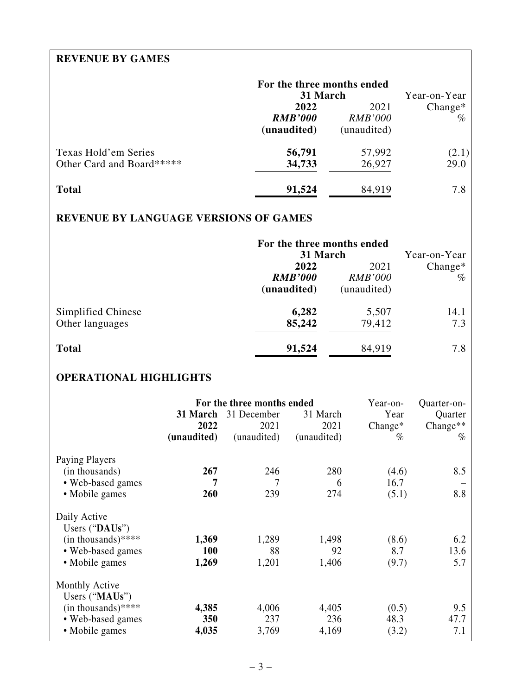# **REVENUE BY GAMES**

|                                                   | For the three months ended<br>31 March | Year-on-Year                          |                   |
|---------------------------------------------------|----------------------------------------|---------------------------------------|-------------------|
|                                                   | 2022<br><b>RMB'000</b><br>(unaudited)  | 2021<br><b>RMB'000</b><br>(unaudited) | $Change*$<br>$\%$ |
| Texas Hold'em Series<br>Other Card and Board***** | 56,791<br>34,733                       | 57,992<br>26,927                      | (2.1)<br>29.0     |
| <b>Total</b>                                      | 91,524                                 | 84,919                                | 7.8               |

# **REVENUE BY LANGUAGE VERSIONS OF GAMES**

|                                       | For the three months ended<br>31 March<br>2022<br><b>RMB'000</b><br>(unaudited) | Year-on-Year<br>$Change*$<br>$\%$ |             |
|---------------------------------------|---------------------------------------------------------------------------------|-----------------------------------|-------------|
| Simplified Chinese<br>Other languages | 6,282<br>85,242                                                                 | 5,507<br>79,412                   | 14.1<br>7.3 |
| <b>Total</b>                          | 91,524                                                                          | 84,919                            | 7.8         |

# **OPERATIONAL HIGHLIGHTS**

|                                  |             | For the three months ended | Year-on-    | Quarter-on- |             |
|----------------------------------|-------------|----------------------------|-------------|-------------|-------------|
|                                  | 31 March    | 31 December                | 31 March    | Year        | Quarter     |
|                                  | 2022        | 2021                       | 2021        | $Change*$   | Change $**$ |
|                                  | (unaudited) | (unaudited)                | (unaudited) | $\%$        | $\%$        |
| Paying Players                   |             |                            |             |             |             |
| (in thousands)                   | 267         | 246                        | 280         | (4.6)       | 8.5         |
| • Web-based games                | 7           | 7                          | 6           | 16.7        |             |
| • Mobile games                   | 260         | 239                        | 274         | (5.1)       | 8.8         |
| Daily Active<br>Users $("DAUs")$ |             |                            |             |             |             |
| $(in thousands)****$             | 1,369       | 1,289                      | 1,498       | (8.6)       | 6.2         |
| • Web-based games                | <b>100</b>  | 88                         | 92          | 8.7         | 13.6        |
| • Mobile games                   | 1,269       | 1,201                      | 1,406       | (9.7)       | 5.7         |
| Monthly Active<br>Users ("MAUs") |             |                            |             |             |             |
| $(in thousands)****$             | 4,385       | 4,006                      | 4,405       | (0.5)       | 9.5         |
| • Web-based games                | 350         | 237                        | 236         | 48.3        | 47.7        |
| • Mobile games                   | 4,035       | 3,769                      | 4,169       | (3.2)       | 7.1         |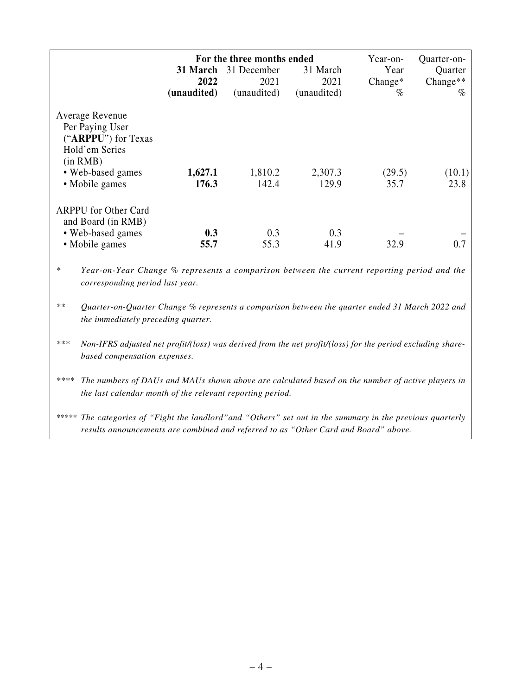| For the three months ended<br>Year-on- |                                                                                                                                                               |             |             |             |         |                        |
|----------------------------------------|---------------------------------------------------------------------------------------------------------------------------------------------------------------|-------------|-------------|-------------|---------|------------------------|
|                                        |                                                                                                                                                               | 31 March    | 31 December | 31 March    | Year    | Quarter-on-<br>Quarter |
|                                        |                                                                                                                                                               | 2022        | 2021        | 2021        | Change* | Change**               |
|                                        |                                                                                                                                                               | (unaudited) | (unaudited) | (unaudited) | $\%$    | $\%$                   |
|                                        | Average Revenue<br>Per Paying User<br>("ARPPU") for Texas<br>Hold'em Series<br>(in RMB)                                                                       |             |             |             |         |                        |
|                                        | • Web-based games                                                                                                                                             | 1,627.1     | 1,810.2     | 2,307.3     | (29.5)  | (10.1)                 |
|                                        | • Mobile games                                                                                                                                                | 176.3       | 142.4       | 129.9       | 35.7    | 23.8                   |
| *                                      | <b>ARPPU</b> for Other Card<br>and Board (in RMB)<br>• Web-based games<br>• Mobile games                                                                      | 0.3<br>55.7 | 0.3<br>55.3 | 0.3<br>41.9 | 32.9    | 0.7                    |
|                                        | Year-on-Year Change % represents a comparison between the current reporting period and the<br>corresponding period last year.                                 |             |             |             |         |                        |
| $***$                                  | Quarter-on-Quarter Change % represents a comparison between the quarter ended 31 March 2022 and<br>the immediately preceding quarter.                         |             |             |             |         |                        |
| ***                                    | Non-IFRS adjusted net profit/(loss) was derived from the net profit/(loss) for the period excluding share-<br>based compensation expenses.                    |             |             |             |         |                        |
| ****                                   | The numbers of DAUs and MAUs shown above are calculated based on the number of active players in<br>the last calendar month of the relevant reporting period. |             |             |             |         |                        |

*\*\*\*\*\* The categories of "Fight the landlord"and "Others" set out in the summary in the previous quarterly results announcements are combined and referred to as "Other Card and Board" above.*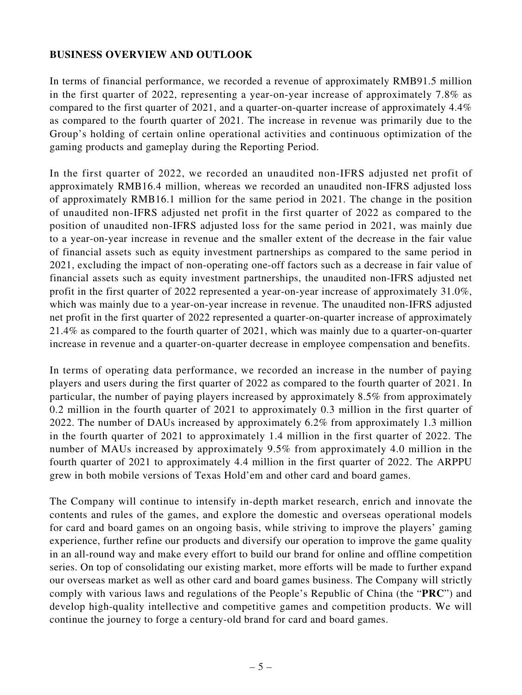## **BUSINESS OVERVIEW AND OUTLOOK**

In terms of financial performance, we recorded a revenue of approximately RMB91.5 million in the first quarter of 2022, representing a year-on-year increase of approximately 7.8% as compared to the first quarter of 2021, and a quarter-on-quarter increase of approximately 4.4% as compared to the fourth quarter of 2021. The increase in revenue was primarily due to the Group's holding of certain online operational activities and continuous optimization of the gaming products and gameplay during the Reporting Period.

In the first quarter of 2022, we recorded an unaudited non-IFRS adjusted net profit of approximately RMB16.4 million, whereas we recorded an unaudited non-IFRS adjusted loss of approximately RMB16.1 million for the same period in 2021. The change in the position of unaudited non-IFRS adjusted net profit in the first quarter of 2022 as compared to the position of unaudited non-IFRS adjusted loss for the same period in 2021, was mainly due to a year-on-year increase in revenue and the smaller extent of the decrease in the fair value of financial assets such as equity investment partnerships as compared to the same period in 2021, excluding the impact of non-operating one-off factors such as a decrease in fair value of financial assets such as equity investment partnerships, the unaudited non-IFRS adjusted net profit in the first quarter of 2022 represented a year-on-year increase of approximately 31.0%, which was mainly due to a year-on-year increase in revenue. The unaudited non-IFRS adjusted net profit in the first quarter of 2022 represented a quarter-on-quarter increase of approximately 21.4% as compared to the fourth quarter of 2021, which was mainly due to a quarter-on-quarter increase in revenue and a quarter-on-quarter decrease in employee compensation and benefits.

In terms of operating data performance, we recorded an increase in the number of paying players and users during the first quarter of 2022 as compared to the fourth quarter of 2021. In particular, the number of paying players increased by approximately 8.5% from approximately 0.2 million in the fourth quarter of 2021 to approximately 0.3 million in the first quarter of 2022. The number of DAUs increased by approximately 6.2% from approximately 1.3 million in the fourth quarter of 2021 to approximately 1.4 million in the first quarter of 2022. The number of MAUs increased by approximately 9.5% from approximately 4.0 million in the fourth quarter of 2021 to approximately 4.4 million in the first quarter of 2022. The ARPPU grew in both mobile versions of Texas Hold'em and other card and board games.

The Company will continue to intensify in-depth market research, enrich and innovate the contents and rules of the games, and explore the domestic and overseas operational models for card and board games on an ongoing basis, while striving to improve the players' gaming experience, further refine our products and diversify our operation to improve the game quality in an all-round way and make every effort to build our brand for online and offline competition series. On top of consolidating our existing market, more efforts will be made to further expand our overseas market as well as other card and board games business. The Company will strictly comply with various laws and regulations of the People's Republic of China (the "**PRC**") and develop high-quality intellective and competitive games and competition products. We will continue the journey to forge a century-old brand for card and board games.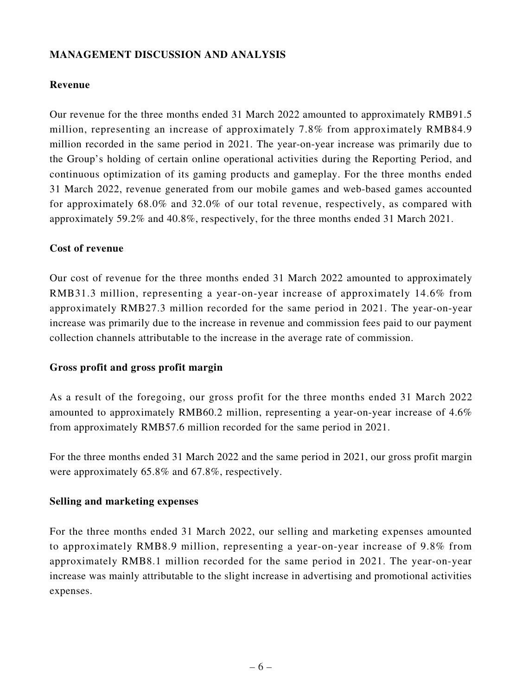# **MANAGEMENT DISCUSSION AND ANALYSIS**

## **Revenue**

Our revenue for the three months ended 31 March 2022 amounted to approximately RMB91.5 million, representing an increase of approximately 7.8% from approximately RMB84.9 million recorded in the same period in 2021. The year-on-year increase was primarily due to the Group's holding of certain online operational activities during the Reporting Period, and continuous optimization of its gaming products and gameplay. For the three months ended 31 March 2022, revenue generated from our mobile games and web-based games accounted for approximately 68.0% and 32.0% of our total revenue, respectively, as compared with approximately 59.2% and 40.8%, respectively, for the three months ended 31 March 2021.

## **Cost of revenue**

Our cost of revenue for the three months ended 31 March 2022 amounted to approximately RMB31.3 million, representing a year-on-year increase of approximately 14.6% from approximately RMB27.3 million recorded for the same period in 2021. The year-on-year increase was primarily due to the increase in revenue and commission fees paid to our payment collection channels attributable to the increase in the average rate of commission.

## **Gross profit and gross profit margin**

As a result of the foregoing, our gross profit for the three months ended 31 March 2022 amounted to approximately RMB60.2 million, representing a year-on-year increase of 4.6% from approximately RMB57.6 million recorded for the same period in 2021.

For the three months ended 31 March 2022 and the same period in 2021, our gross profit margin were approximately 65.8% and 67.8%, respectively.

## **Selling and marketing expenses**

For the three months ended 31 March 2022, our selling and marketing expenses amounted to approximately RMB8.9 million, representing a year-on-year increase of 9.8% from approximately RMB8.1 million recorded for the same period in 2021. The year-on-year increase was mainly attributable to the slight increase in advertising and promotional activities expenses.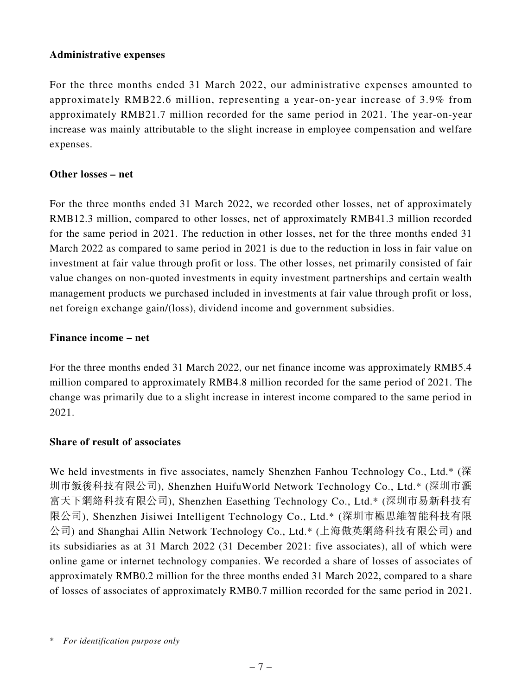## **Administrative expenses**

For the three months ended 31 March 2022, our administrative expenses amounted to approximately RMB22.6 million, representing a year-on-year increase of 3.9% from approximately RMB21.7 million recorded for the same period in 2021. The year-on-year increase was mainly attributable to the slight increase in employee compensation and welfare expenses.

## **Other losses – net**

For the three months ended 31 March 2022, we recorded other losses, net of approximately RMB12.3 million, compared to other losses, net of approximately RMB41.3 million recorded for the same period in 2021. The reduction in other losses, net for the three months ended 31 March 2022 as compared to same period in 2021 is due to the reduction in loss in fair value on investment at fair value through profit or loss. The other losses, net primarily consisted of fair value changes on non-quoted investments in equity investment partnerships and certain wealth management products we purchased included in investments at fair value through profit or loss, net foreign exchange gain/(loss), dividend income and government subsidies.

## **Finance income – net**

For the three months ended 31 March 2022, our net finance income was approximately RMB5.4 million compared to approximately RMB4.8 million recorded for the same period of 2021. The change was primarily due to a slight increase in interest income compared to the same period in 2021.

## **Share of result of associates**

We held investments in five associates, namely Shenzhen Fanhou Technology Co., Ltd.\* (深 圳市飯後科技有限公司), Shenzhen HuifuWorld Network Technology Co., Ltd.\* (深圳市滙 富天下網絡科技有限公司), Shenzhen Easething Technology Co., Ltd.\* (深圳市易新科技有 限公司), Shenzhen Jisiwei Intelligent Technology Co., Ltd.\* (深圳市極思維智能科技有限 公司) and Shanghai Allin Network Technology Co., Ltd.\* (上海傲英網絡科技有限公司) and its subsidiaries as at 31 March 2022 (31 December 2021: five associates), all of which were online game or internet technology companies. We recorded a share of losses of associates of approximately RMB0.2 million for the three months ended 31 March 2022, compared to a share of losses of associates of approximately RMB0.7 million recorded for the same period in 2021.

<sup>\*</sup> *For identification purpose only*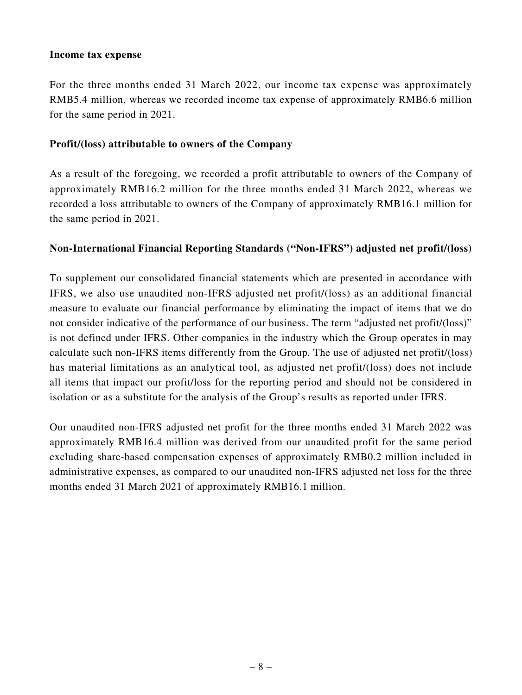## **Income tax expense**

For the three months ended 31 March 2022, our income tax expense was approximately RMB5.4 million, whereas we recorded income tax expense of approximately RMB6.6 million for the same period in 2021.

## **Profit/(loss) attributable to owners of the Company**

As a result of the foregoing, we recorded a profit attributable to owners of the Company of approximately RMB16.2 million for the three months ended 31 March 2022, whereas we recorded a loss attributable to owners of the Company of approximately RMB16.1 million for the same period in 2021.

## **Non-International Financial Reporting Standards ("Non-IFRS") adjusted net profit/(loss)**

To supplement our consolidated financial statements which are presented in accordance with IFRS, we also use unaudited non-IFRS adjusted net profit/(loss) as an additional financial measure to evaluate our financial performance by eliminating the impact of items that we do not consider indicative of the performance of our business. The term "adjusted net profit/(loss)" is not defined under IFRS. Other companies in the industry which the Group operates in may calculate such non-IFRS items differently from the Group. The use of adjusted net profit/(loss) has material limitations as an analytical tool, as adjusted net profit/(loss) does not include all items that impact our profit/loss for the reporting period and should not be considered in isolation or as a substitute for the analysis of the Group's results as reported under IFRS.

Our unaudited non-IFRS adjusted net profit for the three months ended 31 March 2022 was approximately RMB16.4 million was derived from our unaudited profit for the same period excluding share-based compensation expenses of approximately RMB0.2 million included in administrative expenses, as compared to our unaudited non-IFRS adjusted net loss for the three months ended 31 March 2021 of approximately RMB16.1 million.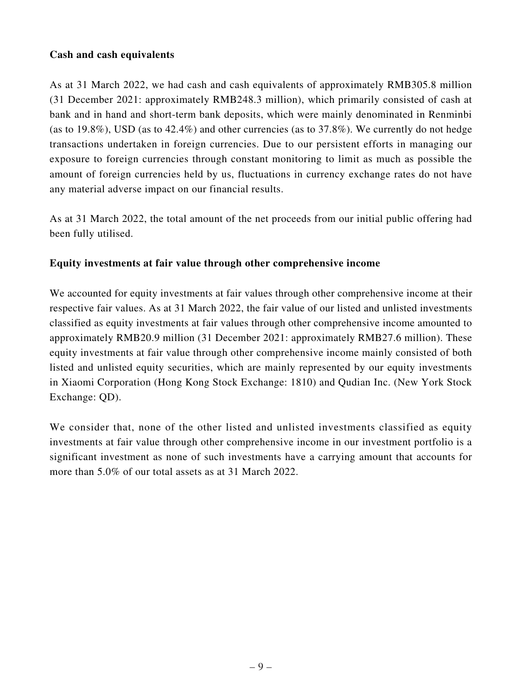## **Cash and cash equivalents**

As at 31 March 2022, we had cash and cash equivalents of approximately RMB305.8 million (31 December 2021: approximately RMB248.3 million), which primarily consisted of cash at bank and in hand and short-term bank deposits, which were mainly denominated in Renminbi (as to  $19.8\%$ ), USD (as to  $42.4\%$ ) and other currencies (as to  $37.8\%$ ). We currently do not hedge transactions undertaken in foreign currencies. Due to our persistent efforts in managing our exposure to foreign currencies through constant monitoring to limit as much as possible the amount of foreign currencies held by us, fluctuations in currency exchange rates do not have any material adverse impact on our financial results.

As at 31 March 2022, the total amount of the net proceeds from our initial public offering had been fully utilised.

## **Equity investments at fair value through other comprehensive income**

We accounted for equity investments at fair values through other comprehensive income at their respective fair values. As at 31 March 2022, the fair value of our listed and unlisted investments classified as equity investments at fair values through other comprehensive income amounted to approximately RMB20.9 million (31 December 2021: approximately RMB27.6 million). These equity investments at fair value through other comprehensive income mainly consisted of both listed and unlisted equity securities, which are mainly represented by our equity investments in Xiaomi Corporation (Hong Kong Stock Exchange: 1810) and Qudian Inc. (New York Stock Exchange: QD).

We consider that, none of the other listed and unlisted investments classified as equity investments at fair value through other comprehensive income in our investment portfolio is a significant investment as none of such investments have a carrying amount that accounts for more than 5.0% of our total assets as at 31 March 2022.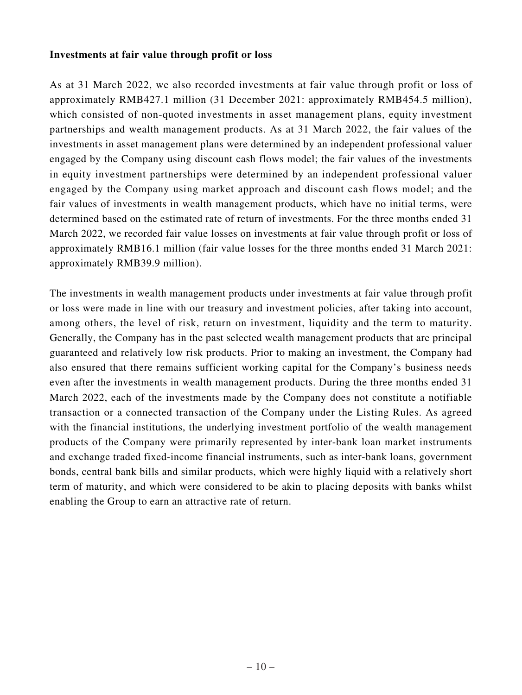## **Investments at fair value through profit or loss**

As at 31 March 2022, we also recorded investments at fair value through profit or loss of approximately RMB427.1 million (31 December 2021: approximately RMB454.5 million), which consisted of non-quoted investments in asset management plans, equity investment partnerships and wealth management products. As at 31 March 2022, the fair values of the investments in asset management plans were determined by an independent professional valuer engaged by the Company using discount cash flows model; the fair values of the investments in equity investment partnerships were determined by an independent professional valuer engaged by the Company using market approach and discount cash flows model; and the fair values of investments in wealth management products, which have no initial terms, were determined based on the estimated rate of return of investments. For the three months ended 31 March 2022, we recorded fair value losses on investments at fair value through profit or loss of approximately RMB16.1 million (fair value losses for the three months ended 31 March 2021: approximately RMB39.9 million).

The investments in wealth management products under investments at fair value through profit or loss were made in line with our treasury and investment policies, after taking into account, among others, the level of risk, return on investment, liquidity and the term to maturity. Generally, the Company has in the past selected wealth management products that are principal guaranteed and relatively low risk products. Prior to making an investment, the Company had also ensured that there remains sufficient working capital for the Company's business needs even after the investments in wealth management products. During the three months ended 31 March 2022, each of the investments made by the Company does not constitute a notifiable transaction or a connected transaction of the Company under the Listing Rules. As agreed with the financial institutions, the underlying investment portfolio of the wealth management products of the Company were primarily represented by inter-bank loan market instruments and exchange traded fixed-income financial instruments, such as inter-bank loans, government bonds, central bank bills and similar products, which were highly liquid with a relatively short term of maturity, and which were considered to be akin to placing deposits with banks whilst enabling the Group to earn an attractive rate of return.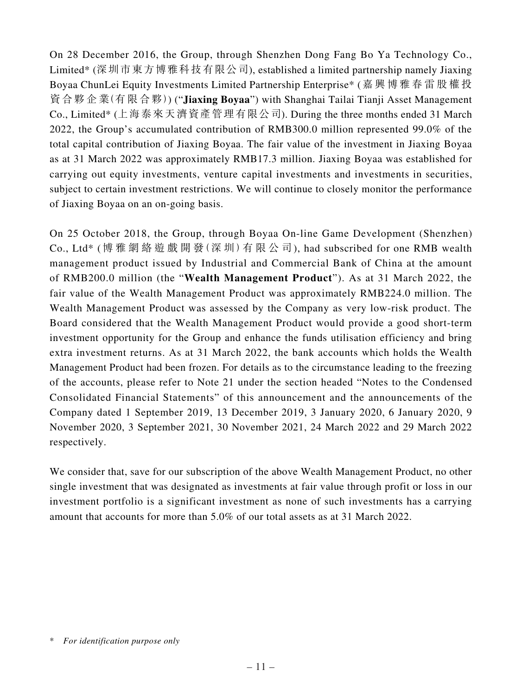On 28 December 2016, the Group, through Shenzhen Dong Fang Bo Ya Technology Co., Limited\* (深圳市東方博雅科技有限公司), established a limited partnership namely Jiaxing Boyaa ChunLei Equity Investments Limited Partnership Enterprise\* (嘉興博雅春雷股權投 資合夥企業(有限合夥)) ("**Jiaxing Boyaa**") with Shanghai Tailai Tianji Asset Management Co., Limited\* (上海泰來天濟資產管理有限公司). During the three months ended 31 March 2022, the Group's accumulated contribution of RMB300.0 million represented 99.0% of the total capital contribution of Jiaxing Boyaa. The fair value of the investment in Jiaxing Boyaa as at 31 March 2022 was approximately RMB17.3 million. Jiaxing Boyaa was established for carrying out equity investments, venture capital investments and investments in securities, subject to certain investment restrictions. We will continue to closely monitor the performance of Jiaxing Boyaa on an on-going basis.

On 25 October 2018, the Group, through Boyaa On-line Game Development (Shenzhen) Co., Ltd\* (博 雅 網 絡 遊 戲 開 發(深 圳)有 限 公 司), had subscribed for one RMB wealth management product issued by Industrial and Commercial Bank of China at the amount of RMB200.0 million (the "**Wealth Management Product**"). As at 31 March 2022, the fair value of the Wealth Management Product was approximately RMB224.0 million. The Wealth Management Product was assessed by the Company as very low-risk product. The Board considered that the Wealth Management Product would provide a good short-term investment opportunity for the Group and enhance the funds utilisation efficiency and bring extra investment returns. As at 31 March 2022, the bank accounts which holds the Wealth Management Product had been frozen. For details as to the circumstance leading to the freezing of the accounts, please refer to Note 21 under the section headed "Notes to the Condensed Consolidated Financial Statements" of this announcement and the announcements of the Company dated 1 September 2019, 13 December 2019, 3 January 2020, 6 January 2020, 9 November 2020, 3 September 2021, 30 November 2021, 24 March 2022 and 29 March 2022 respectively.

We consider that, save for our subscription of the above Wealth Management Product, no other single investment that was designated as investments at fair value through profit or loss in our investment portfolio is a significant investment as none of such investments has a carrying amount that accounts for more than 5.0% of our total assets as at 31 March 2022.

<sup>\*</sup> *For identification purpose only*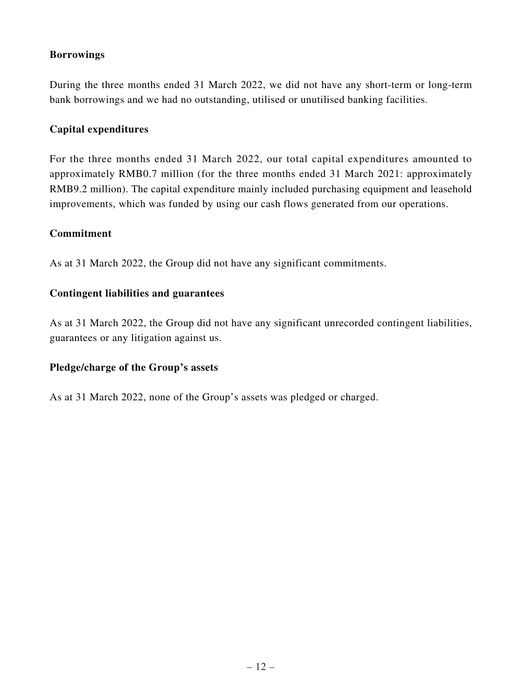## **Borrowings**

During the three months ended 31 March 2022, we did not have any short-term or long-term bank borrowings and we had no outstanding, utilised or unutilised banking facilities.

## **Capital expenditures**

For the three months ended 31 March 2022, our total capital expenditures amounted to approximately RMB0.7 million (for the three months ended 31 March 2021: approximately RMB9.2 million). The capital expenditure mainly included purchasing equipment and leasehold improvements, which was funded by using our cash flows generated from our operations.

## **Commitment**

As at 31 March 2022, the Group did not have any significant commitments.

## **Contingent liabilities and guarantees**

As at 31 March 2022, the Group did not have any significant unrecorded contingent liabilities, guarantees or any litigation against us.

## **Pledge/charge of the Group's assets**

As at 31 March 2022, none of the Group's assets was pledged or charged.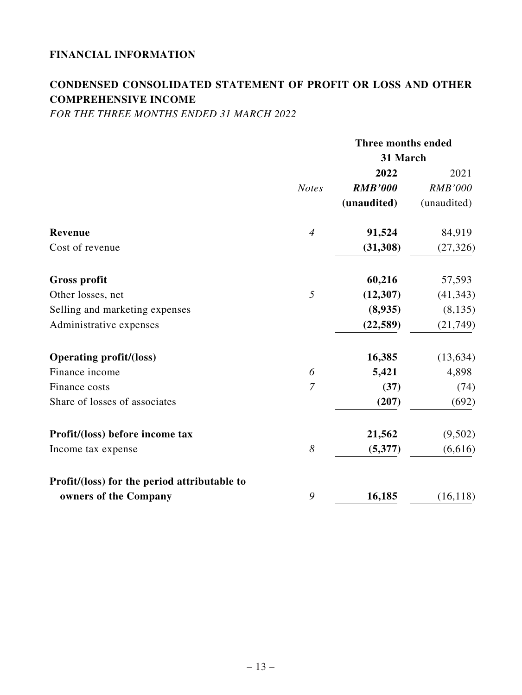# **FINANCIAL INFORMATION**

# **CONDENSED CONSOLIDATED STATEMENT OF PROFIT OR LOSS AND OTHER COMPREHENSIVE INCOME**

*FOR THE THREE MONTHS ENDED 31 MARCH 2022*

|                                              |                | Three months ended |                |
|----------------------------------------------|----------------|--------------------|----------------|
|                                              |                | 31 March           |                |
|                                              |                | 2022               | 2021           |
|                                              | <b>Notes</b>   | <b>RMB'000</b>     | <b>RMB'000</b> |
|                                              |                | (unaudited)        | (unaudited)    |
| <b>Revenue</b>                               | $\overline{4}$ | 91,524             | 84,919         |
| Cost of revenue                              |                | (31,308)           | (27, 326)      |
| <b>Gross profit</b>                          |                | 60,216             | 57,593         |
| Other losses, net                            | 5              | (12,307)           | (41, 343)      |
| Selling and marketing expenses               |                | (8,935)            | (8, 135)       |
| Administrative expenses                      |                | (22, 589)          | (21, 749)      |
| <b>Operating profit/(loss)</b>               |                | 16,385             | (13, 634)      |
| Finance income                               | 6              | 5,421              | 4,898          |
| Finance costs                                | $\overline{7}$ | (37)               | (74)           |
| Share of losses of associates                |                | (207)              | (692)          |
| Profit/(loss) before income tax              |                | 21,562             | (9,502)        |
| Income tax expense                           | 8              | (5,377)            | (6,616)        |
| Profit/(loss) for the period attributable to |                |                    |                |
| owners of the Company                        | 9              | 16,185             | (16, 118)      |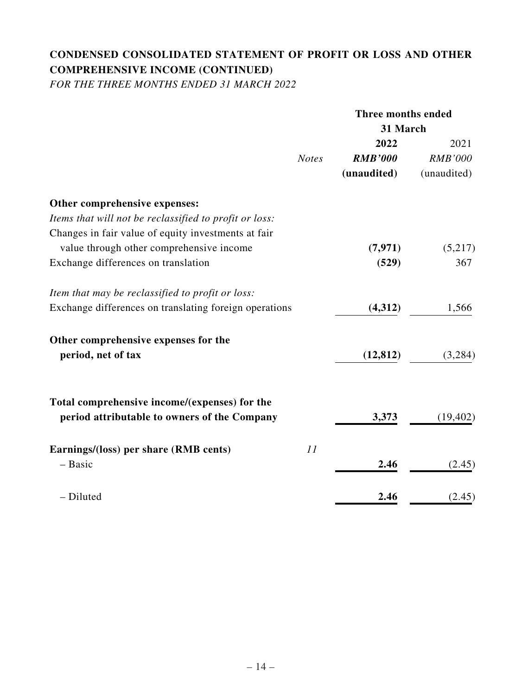# **CONDENSED CONSOLIDATED STATEMENT OF PROFIT OR LOSS AND OTHER COMPREHENSIVE INCOME (CONTINUED)**

*FOR THE THREE MONTHS ENDED 31 MARCH 2022*

|                                                        |              | Three months ended |                |
|--------------------------------------------------------|--------------|--------------------|----------------|
|                                                        |              | 31 March           |                |
|                                                        |              | 2022               | 2021           |
|                                                        | <b>Notes</b> | <b>RMB'000</b>     | <b>RMB'000</b> |
|                                                        |              | (unaudited)        | (unaudited)    |
| Other comprehensive expenses:                          |              |                    |                |
| Items that will not be reclassified to profit or loss: |              |                    |                |
| Changes in fair value of equity investments at fair    |              |                    |                |
| value through other comprehensive income               |              | (7, 971)           | (5,217)        |
| Exchange differences on translation                    |              | (529)              | 367            |
| Item that may be reclassified to profit or loss:       |              |                    |                |
| Exchange differences on translating foreign operations |              | (4,312)            | 1,566          |
| Other comprehensive expenses for the                   |              |                    |                |
| period, net of tax                                     |              | (12, 812)          | (3,284)        |
| Total comprehensive income/(expenses) for the          |              |                    |                |
| period attributable to owners of the Company           |              | 3,373              | (19, 402)      |
| Earnings/(loss) per share (RMB cents)                  | 11           |                    |                |
| - Basic                                                |              | 2.46               | (2.45)         |
| - Diluted                                              |              | 2.46               | (2.45)         |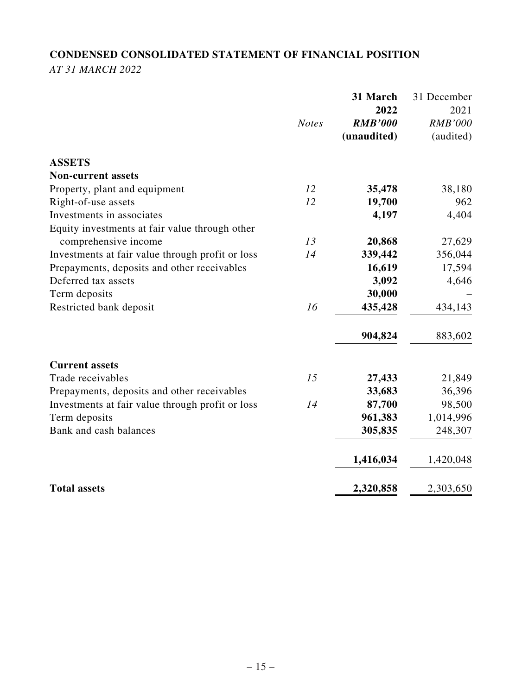# **CONDENSED CONSOLIDATED STATEMENT OF FINANCIAL POSITION** *AT 31 MARCH 2022*

|                                                  | <b>Notes</b> | 31 March<br>2022<br><b>RMB'000</b><br>(unaudited) | 31 December<br>2021<br><b>RMB'000</b><br>(audited) |
|--------------------------------------------------|--------------|---------------------------------------------------|----------------------------------------------------|
| <b>ASSETS</b>                                    |              |                                                   |                                                    |
| <b>Non-current assets</b>                        |              |                                                   |                                                    |
| Property, plant and equipment                    | 12           | 35,478                                            | 38,180                                             |
| Right-of-use assets                              | 12           | 19,700                                            | 962                                                |
| Investments in associates                        |              | 4,197                                             | 4,404                                              |
| Equity investments at fair value through other   |              |                                                   |                                                    |
| comprehensive income                             | 13           | 20,868                                            | 27,629                                             |
| Investments at fair value through profit or loss | 14           | 339,442                                           | 356,044                                            |
| Prepayments, deposits and other receivables      |              | 16,619                                            | 17,594                                             |
| Deferred tax assets                              |              | 3,092                                             | 4,646                                              |
| Term deposits                                    |              | 30,000                                            |                                                    |
| Restricted bank deposit                          | 16           | 435,428                                           | 434,143                                            |
|                                                  |              | 904,824                                           | 883,602                                            |
| <b>Current assets</b>                            |              |                                                   |                                                    |
| Trade receivables                                | 15           | 27,433                                            | 21,849                                             |
| Prepayments, deposits and other receivables      |              | 33,683                                            | 36,396                                             |
| Investments at fair value through profit or loss | 14           | 87,700                                            | 98,500                                             |
| Term deposits                                    |              | 961,383                                           | 1,014,996                                          |
| Bank and cash balances                           |              | 305,835                                           | 248,307                                            |
|                                                  |              | 1,416,034                                         | 1,420,048                                          |
| <b>Total assets</b>                              |              | 2,320,858                                         | 2,303,650                                          |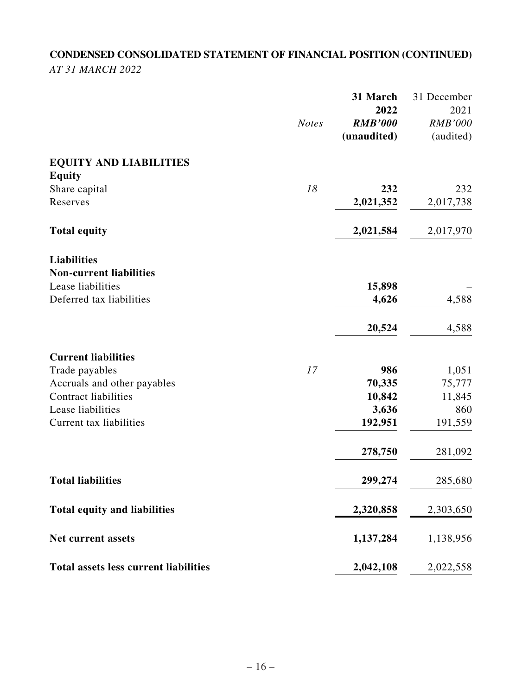# **CONDENSED CONSOLIDATED STATEMENT OF FINANCIAL POSITION (CONTINUED)** *AT 31 MARCH 2022*

|                                              | <b>Notes</b> | 31 March<br>2022<br><b>RMB'000</b><br>(unaudited) | 31 December<br>2021<br><b>RMB'000</b><br>(audited) |
|----------------------------------------------|--------------|---------------------------------------------------|----------------------------------------------------|
| <b>EQUITY AND LIABILITIES</b>                |              |                                                   |                                                    |
| <b>Equity</b>                                |              |                                                   |                                                    |
| Share capital                                | 18           | 232                                               | 232                                                |
| Reserves                                     |              | 2,021,352                                         | 2,017,738                                          |
| <b>Total equity</b>                          |              | 2,021,584                                         | 2,017,970                                          |
| <b>Liabilities</b>                           |              |                                                   |                                                    |
| <b>Non-current liabilities</b>               |              |                                                   |                                                    |
| Lease liabilities                            |              | 15,898                                            |                                                    |
| Deferred tax liabilities                     |              | 4,626                                             | 4,588                                              |
|                                              |              | 20,524                                            | 4,588                                              |
| <b>Current liabilities</b>                   |              |                                                   |                                                    |
| Trade payables                               | 17           | 986                                               | 1,051                                              |
| Accruals and other payables                  |              | 70,335                                            | 75,777                                             |
| <b>Contract liabilities</b>                  |              | 10,842                                            | 11,845                                             |
| Lease liabilities                            |              | 3,636                                             | 860                                                |
| Current tax liabilities                      |              | 192,951                                           | 191,559                                            |
|                                              |              | 278,750                                           | 281,092                                            |
| <b>Total liabilities</b>                     |              | 299,274                                           | 285,680                                            |
| <b>Total equity and liabilities</b>          |              | 2,320,858                                         | 2,303,650                                          |
| Net current assets                           |              | 1,137,284                                         | 1,138,956                                          |
| <b>Total assets less current liabilities</b> |              | 2,042,108                                         | 2,022,558                                          |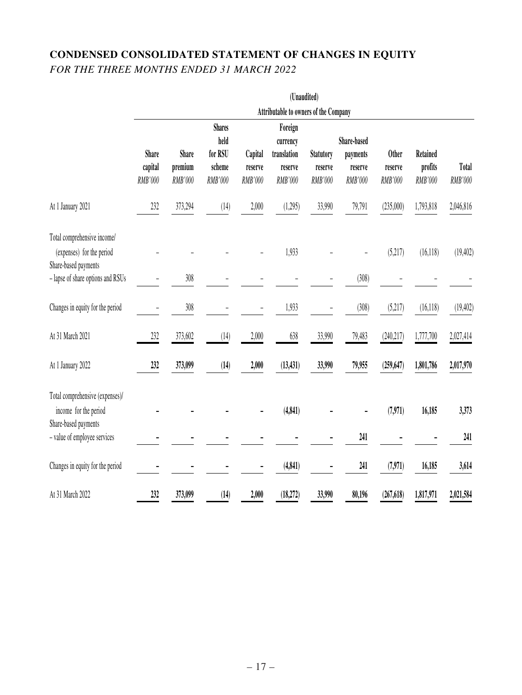# **CONDENSED CONSOLIDATED STATEMENT OF CHANGES IN EQUITY** *FOR THE THREE MONTHS ENDED 31 MARCH 2022*

|                                                                                  |                                       |                                    |                                                       |                               |                                                          | (Unaudited)                            |                                               |                                    |                                |                         |
|----------------------------------------------------------------------------------|---------------------------------------|------------------------------------|-------------------------------------------------------|-------------------------------|----------------------------------------------------------|----------------------------------------|-----------------------------------------------|------------------------------------|--------------------------------|-------------------------|
|                                                                                  | Attributable to owners of the Company |                                    |                                                       |                               |                                                          |                                        |                                               |                                    |                                |                         |
|                                                                                  | <b>Share</b><br>capital<br>RMB'000    | <b>Share</b><br>premium<br>RMB'000 | <b>Shares</b><br>held<br>for RSU<br>scheme<br>RMB'000 | Capital<br>reserve<br>RMB'000 | Foreign<br>currency<br>translation<br>reserve<br>RMB'000 | <b>Statutory</b><br>reserve<br>RMB'000 | Share-based<br>payments<br>reserve<br>RMB'000 | <b>Other</b><br>reserve<br>RMB'000 | Retained<br>profits<br>RMB'000 | <b>Total</b><br>RMB'000 |
| At 1 January 2021                                                                | 232                                   | 373,294                            | (14)                                                  | 2,000                         | (1,295)                                                  | 33,990                                 | 79,791                                        | (235,000)                          | 1,793,818                      | 2,046,816               |
| Total comprehensive income/<br>(expenses) for the period<br>Share-based payments |                                       |                                    |                                                       |                               | 1,933                                                    |                                        |                                               | (5,217)                            | (16, 118)                      | (19, 402)               |
| - lapse of share options and RSUs                                                |                                       | 308                                |                                                       |                               |                                                          |                                        | (308)                                         |                                    |                                |                         |
| Changes in equity for the period                                                 |                                       | 308                                |                                                       |                               | 1,933                                                    |                                        | (308)                                         | (5,217)                            | (16, 118)                      | (19, 402)               |
| At 31 March 2021                                                                 | 232                                   | 373,602                            | (14)                                                  | 2,000                         | 638                                                      | 33,990                                 | 79,483                                        | (240, 217)                         | 1,777,700                      | 2,027,414               |
| At 1 January 2022                                                                | 232                                   | 373,099                            | (14)                                                  | 2,000                         | (13, 431)                                                | 33,990                                 | 79,955                                        | (259, 647)                         | 1,801,786                      | 2,017,970               |
| Total comprehensive (expenses)/<br>income for the period<br>Share-based payments |                                       |                                    |                                                       |                               | (4, 841)                                                 |                                        |                                               | (7,971)                            | 16,185                         | 3,373                   |
| - value of employee services                                                     |                                       |                                    |                                                       |                               |                                                          |                                        | 241                                           |                                    |                                | 241                     |
| Changes in equity for the period                                                 |                                       |                                    |                                                       |                               | (4, 841)                                                 |                                        | 241                                           | (7,971)                            | 16,185                         | 3,614                   |
| At 31 March 2022                                                                 | 232                                   | 373,099                            | (14)                                                  | 2,000                         | (18,272)                                                 | 33,990                                 | 80,196                                        | (267, 618)                         | 1,817,971                      | 2,021,584               |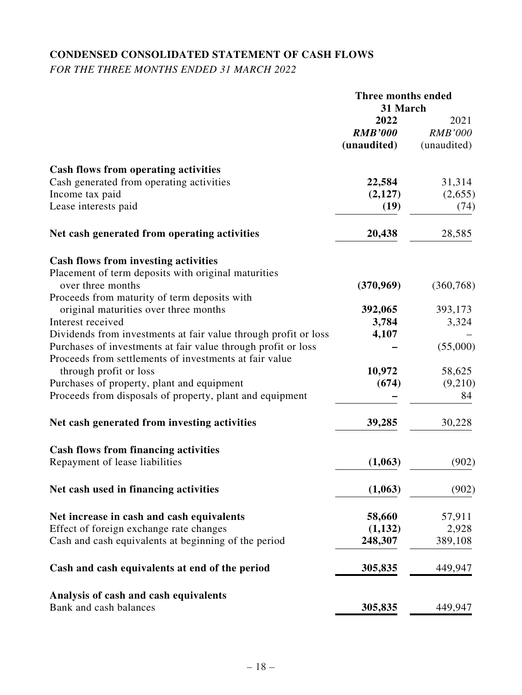# **CONDENSED CONSOLIDATED STATEMENT OF CASH FLOWS**

*FOR THE THREE MONTHS ENDED 31 MARCH 2022*

|                                                                 | Three months ended<br>31 March |                        |
|-----------------------------------------------------------------|--------------------------------|------------------------|
|                                                                 | 2022<br><b>RMB'000</b>         | 2021<br><b>RMB'000</b> |
|                                                                 | (unaudited)                    | (unaudited)            |
| Cash flows from operating activities                            |                                |                        |
| Cash generated from operating activities                        | 22,584                         | 31,314                 |
| Income tax paid                                                 | (2,127)                        | (2,655)                |
| Lease interests paid                                            | (19)                           | (74)                   |
| Net cash generated from operating activities                    | 20,438                         | 28,585                 |
| <b>Cash flows from investing activities</b>                     |                                |                        |
| Placement of term deposits with original maturities             |                                |                        |
| over three months                                               | (370,969)                      | (360, 768)             |
| Proceeds from maturity of term deposits with                    |                                |                        |
| original maturities over three months                           | 392,065                        | 393,173                |
| Interest received                                               | 3,784                          | 3,324                  |
| Dividends from investments at fair value through profit or loss | 4,107                          |                        |
| Purchases of investments at fair value through profit or loss   |                                | (55,000)               |
| Proceeds from settlements of investments at fair value          |                                |                        |
| through profit or loss                                          | 10,972                         | 58,625                 |
| Purchases of property, plant and equipment                      | (674)                          | (9,210)                |
| Proceeds from disposals of property, plant and equipment        |                                | 84                     |
| Net cash generated from investing activities                    | 39,285                         | 30,228                 |
| <b>Cash flows from financing activities</b>                     |                                |                        |
| Repayment of lease liabilities                                  | (1,063)                        | (902)                  |
| Net cash used in financing activities                           | (1,063)                        | (902)                  |
| Net increase in cash and cash equivalents                       | 58,660                         | 57,911                 |
| Effect of foreign exchange rate changes                         | (1,132)                        | 2,928                  |
| Cash and cash equivalents at beginning of the period            | 248,307                        | 389,108                |
| Cash and cash equivalents at end of the period                  | 305,835                        | 449,947                |
| Analysis of cash and cash equivalents                           |                                |                        |
| Bank and cash balances                                          | 305,835                        | 449,947                |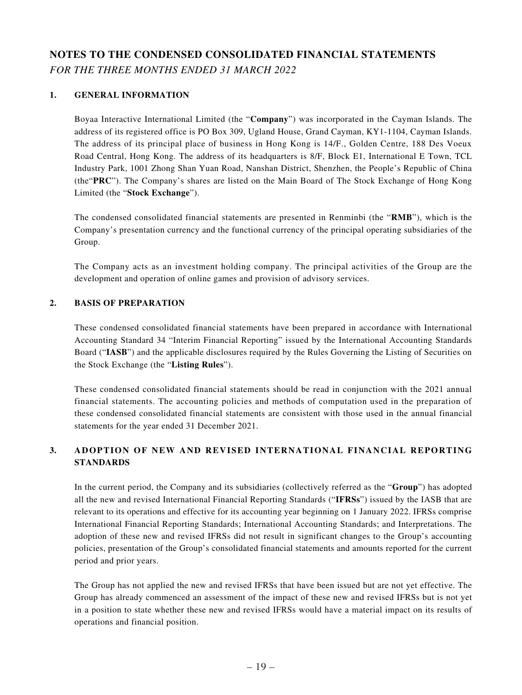# **NOTES TO THE CONDENSED CONSOLIDATED FINANCIAL STATEMENTS** *FOR THE THREE MONTHS ENDED 31 MARCH 2022*

### **1. GENERAL INFORMATION**

Boyaa Interactive International Limited (the "**Company**") was incorporated in the Cayman Islands. The address of its registered office is PO Box 309, Ugland House, Grand Cayman, KY1-1104, Cayman Islands. The address of its principal place of business in Hong Kong is 14/F., Golden Centre, 188 Des Voeux Road Central, Hong Kong. The address of its headquarters is 8/F, Block E1, International E Town, TCL Industry Park, 1001 Zhong Shan Yuan Road, Nanshan District, Shenzhen, the People's Republic of China (the"**PRC**"). The Company's shares are listed on the Main Board of The Stock Exchange of Hong Kong Limited (the "**Stock Exchange**").

The condensed consolidated financial statements are presented in Renminbi (the "**RMB**"), which is the Company's presentation currency and the functional currency of the principal operating subsidiaries of the Group.

The Company acts as an investment holding company. The principal activities of the Group are the development and operation of online games and provision of advisory services.

### **2. BASIS OF PREPARATION**

These condensed consolidated financial statements have been prepared in accordance with International Accounting Standard 34 "Interim Financial Reporting" issued by the International Accounting Standards Board ("**IASB**") and the applicable disclosures required by the Rules Governing the Listing of Securities on the Stock Exchange (the "**Listing Rules**").

These condensed consolidated financial statements should be read in conjunction with the 2021 annual financial statements. The accounting policies and methods of computation used in the preparation of these condensed consolidated financial statements are consistent with those used in the annual financial statements for the year ended 31 December 2021.

### **3. ADOPTION OF NEW AND REVISED INTERNATIONAL FINANCIAL REPORTING STANDARDS**

In the current period, the Company and its subsidiaries (collectively referred as the "**Group**") has adopted all the new and revised International Financial Reporting Standards ("**IFRSs**") issued by the IASB that are relevant to its operations and effective for its accounting year beginning on 1 January 2022. IFRSs comprise International Financial Reporting Standards; International Accounting Standards; and Interpretations. The adoption of these new and revised IFRSs did not result in significant changes to the Group's accounting policies, presentation of the Group's consolidated financial statements and amounts reported for the current period and prior years.

The Group has not applied the new and revised IFRSs that have been issued but are not yet effective. The Group has already commenced an assessment of the impact of these new and revised IFRSs but is not yet in a position to state whether these new and revised IFRSs would have a material impact on its results of operations and financial position.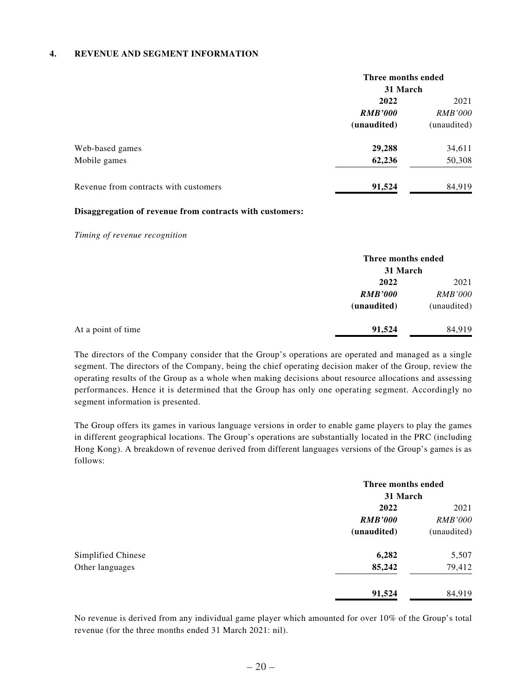### **4. REVENUE AND SEGMENT INFORMATION**

|                                       | Three months ended<br>31 March |                |  |
|---------------------------------------|--------------------------------|----------------|--|
|                                       |                                |                |  |
|                                       | 2022                           | 2021           |  |
|                                       | <b>RMB'000</b>                 | <i>RMB'000</i> |  |
|                                       | (unaudited)                    | (unaudited)    |  |
| Web-based games                       | 29,288                         | 34,611         |  |
| Mobile games                          | 62,236                         | 50,308         |  |
| Revenue from contracts with customers | 91,524                         | 84,919         |  |

### **Disaggregation of revenue from contracts with customers:**

*Timing of revenue recognition*

|                    |                | Three months ended<br>31 March |  |
|--------------------|----------------|--------------------------------|--|
|                    |                |                                |  |
|                    | 2022           | 2021                           |  |
|                    | <b>RMB'000</b> | <i>RMB'000</i>                 |  |
|                    | (unaudited)    | (unaudited)                    |  |
| At a point of time | 91,524         | 84,919                         |  |

The directors of the Company consider that the Group's operations are operated and managed as a single segment. The directors of the Company, being the chief operating decision maker of the Group, review the operating results of the Group as a whole when making decisions about resource allocations and assessing performances. Hence it is determined that the Group has only one operating segment. Accordingly no segment information is presented.

The Group offers its games in various language versions in order to enable game players to play the games in different geographical locations. The Group's operations are substantially located in the PRC (including Hong Kong). A breakdown of revenue derived from different languages versions of the Group's games is as follows:

|                    |                | Three months ended<br>31 March |  |
|--------------------|----------------|--------------------------------|--|
|                    | 2022           | 2021                           |  |
|                    | <b>RMB'000</b> | <i>RMB'000</i>                 |  |
|                    | (unaudited)    | (unaudited)                    |  |
| Simplified Chinese | 6,282          | 5,507                          |  |
| Other languages    | 85,242         | 79,412                         |  |
|                    | 91,524         | 84,919                         |  |

No revenue is derived from any individual game player which amounted for over 10% of the Group's total revenue (for the three months ended 31 March 2021: nil).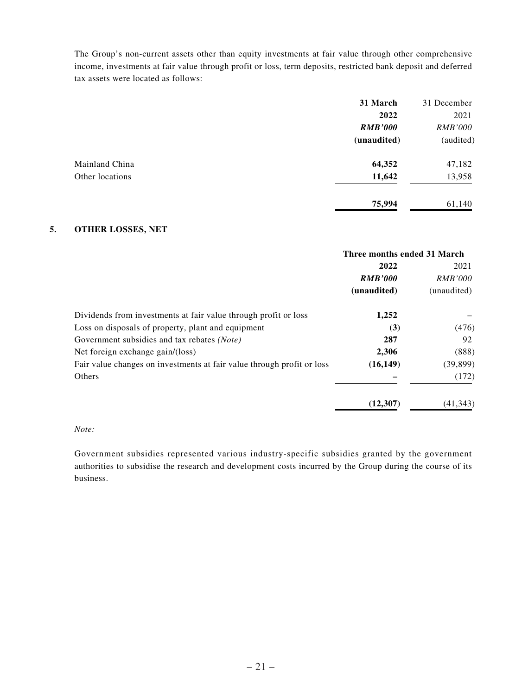The Group's non-current assets other than equity investments at fair value through other comprehensive income, investments at fair value through profit or loss, term deposits, restricted bank deposit and deferred tax assets were located as follows:

|                 | 31 March       | 31 December    |
|-----------------|----------------|----------------|
|                 | 2022           | 2021           |
|                 | <b>RMB'000</b> | <b>RMB'000</b> |
|                 | (unaudited)    | (audited)      |
| Mainland China  | 64,352         | 47,182         |
| Other locations | 11,642         | 13,958         |
|                 | 75,994         | 61,140         |

#### **5. OTHER LOSSES, NET**

|                                                                        | Three months ended 31 March |                |
|------------------------------------------------------------------------|-----------------------------|----------------|
|                                                                        | 2022                        | 2021           |
|                                                                        | <b>RMB'000</b>              | <i>RMB'000</i> |
|                                                                        | (unaudited)                 | (unaudited)    |
| Dividends from investments at fair value through profit or loss        | 1,252                       |                |
| Loss on disposals of property, plant and equipment                     | (3)                         | (476)          |
| Government subsidies and tax rebates (Note)                            | 287                         | 92             |
| Net foreign exchange gain/(loss)                                       | 2,306                       | (888)          |
| Fair value changes on investments at fair value through profit or loss | (16, 149)                   | (39, 899)      |
| Others                                                                 |                             | (172)          |
|                                                                        | (12, 307)                   | (41, 343)      |

### *Note:*

Government subsidies represented various industry-specific subsidies granted by the government authorities to subsidise the research and development costs incurred by the Group during the course of its business.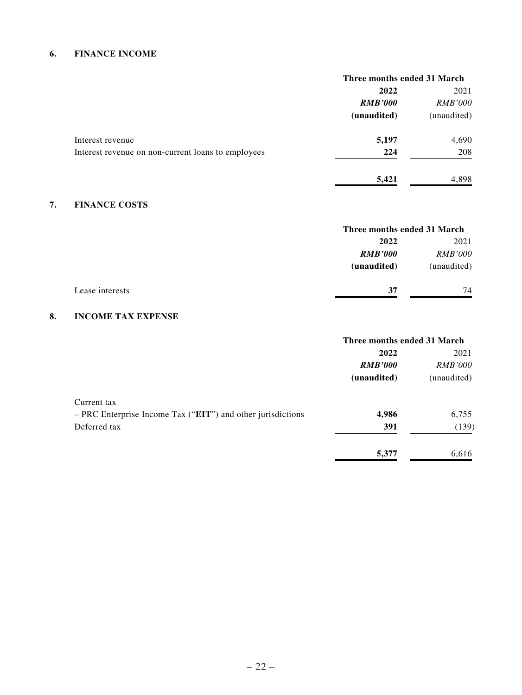### **6. FINANCE INCOME**

|                                                    | Three months ended 31 March |                |
|----------------------------------------------------|-----------------------------|----------------|
|                                                    | 2022                        | 2021           |
|                                                    | <b>RMB'000</b>              | <b>RMB'000</b> |
|                                                    | (unaudited)                 | (unaudited)    |
| Interest revenue                                   | 5,197                       | 4,690          |
| Interest revenue on non-current loans to employees | 224                         | 208            |
|                                                    | 5,421                       | 4,898          |

## **7. FINANCE COSTS**

|                 |                | Three months ended 31 March |  |
|-----------------|----------------|-----------------------------|--|
|                 | 2022           | 2021                        |  |
|                 | <b>RMB'000</b> | <i>RMB'000</i>              |  |
|                 | (unaudited)    | (unaudited)                 |  |
| Lease interests | 37             | 74                          |  |
|                 |                |                             |  |

## **8. INCOME TAX EXPENSE**

|                                                             | Three months ended 31 March |                |
|-------------------------------------------------------------|-----------------------------|----------------|
|                                                             | 2022                        | 2021           |
|                                                             | <b>RMB'000</b>              | <i>RMB'000</i> |
|                                                             | (unaudited)                 | (unaudited)    |
| Current tax                                                 |                             |                |
| - PRC Enterprise Income Tax ("EIT") and other jurisdictions | 4,986                       | 6,755          |
| Deferred tax                                                | 391                         | (139)          |
|                                                             | 5,377                       | 6,616          |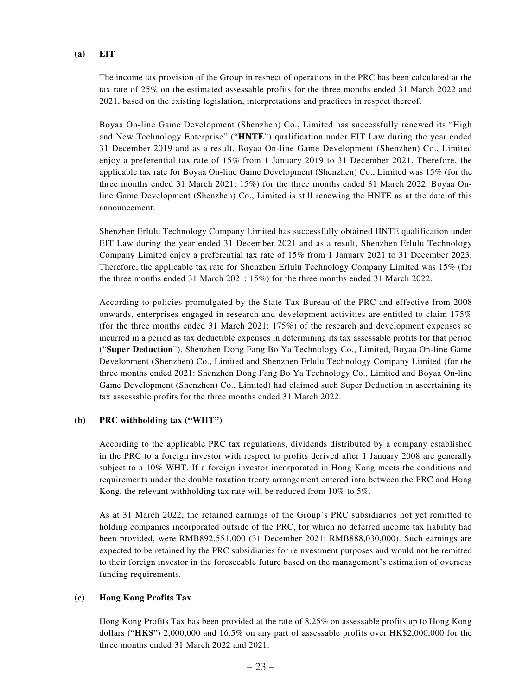#### **(a) EIT**

The income tax provision of the Group in respect of operations in the PRC has been calculated at the tax rate of 25% on the estimated assessable profits for the three months ended 31 March 2022 and 2021, based on the existing legislation, interpretations and practices in respect thereof.

Boyaa On-line Game Development (Shenzhen) Co., Limited has successfully renewed its "High and New Technology Enterprise" ("**HNTE**") qualification under EIT Law during the year ended 31 December 2019 and as a result, Boyaa On-line Game Development (Shenzhen) Co., Limited enjoy a preferential tax rate of 15% from 1 January 2019 to 31 December 2021. Therefore, the applicable tax rate for Boyaa On-line Game Development (Shenzhen) Co., Limited was 15% (for the three months ended 31 March 2021: 15%) for the three months ended 31 March 2022. Boyaa Online Game Development (Shenzhen) Co., Limited is still renewing the HNTE as at the date of this announcement.

Shenzhen Erlulu Technology Company Limited has successfully obtained HNTE qualification under EIT Law during the year ended 31 December 2021 and as a result, Shenzhen Erlulu Technology Company Limited enjoy a preferential tax rate of 15% from 1 January 2021 to 31 December 2023. Therefore, the applicable tax rate for Shenzhen Erlulu Technology Company Limited was 15% (for the three months ended 31 March 2021: 15%) for the three months ended 31 March 2022.

According to policies promulgated by the State Tax Bureau of the PRC and effective from 2008 onwards, enterprises engaged in research and development activities are entitled to claim 175% (for the three months ended 31 March 2021: 175%) of the research and development expenses so incurred in a period as tax deductible expenses in determining its tax assessable profits for that period ("**Super Deduction**"). Shenzhen Dong Fang Bo Ya Technology Co., Limited, Boyaa On-line Game Development (Shenzhen) Co., Limited and Shenzhen Erlulu Technology Company Limited (for the three months ended 2021: Shenzhen Dong Fang Bo Ya Technology Co., Limited and Boyaa On-line Game Development (Shenzhen) Co., Limited) had claimed such Super Deduction in ascertaining its tax assessable profits for the three months ended 31 March 2022.

#### **(b) PRC withholding tax ("WHT")**

According to the applicable PRC tax regulations, dividends distributed by a company established in the PRC to a foreign investor with respect to profits derived after 1 January 2008 are generally subject to a 10% WHT. If a foreign investor incorporated in Hong Kong meets the conditions and requirements under the double taxation treaty arrangement entered into between the PRC and Hong Kong, the relevant withholding tax rate will be reduced from 10% to 5%.

As at 31 March 2022, the retained earnings of the Group's PRC subsidiaries not yet remitted to holding companies incorporated outside of the PRC, for which no deferred income tax liability had been provided, were RMB892,551,000 (31 December 2021: RMB888,030,000). Such earnings are expected to be retained by the PRC subsidiaries for reinvestment purposes and would not be remitted to their foreign investor in the foreseeable future based on the management's estimation of overseas funding requirements.

### **(c) Hong Kong Profits Tax**

Hong Kong Profits Tax has been provided at the rate of 8.25% on assessable profits up to Hong Kong dollars ("**HK\$**") 2,000,000 and 16.5% on any part of assessable profits over HK\$2,000,000 for the three months ended 31 March 2022 and 2021.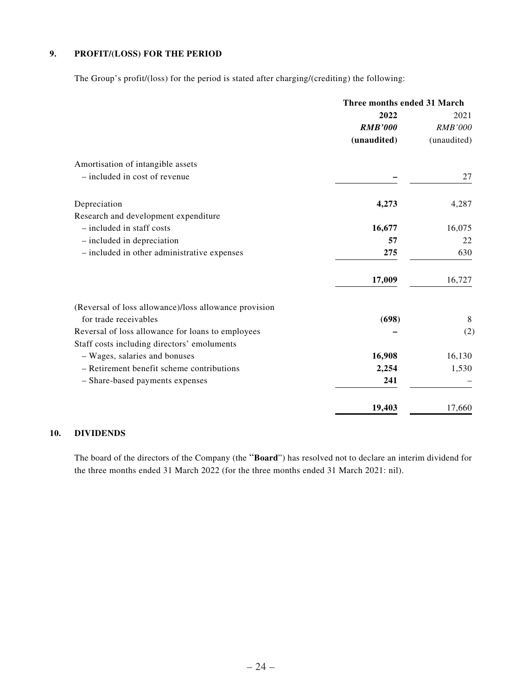### **9. PROFIT/(LOSS) FOR THE PERIOD**

The Group's profit/(loss) for the period is stated after charging/(crediting) the following:

|                                                       | Three months ended 31 March |                |
|-------------------------------------------------------|-----------------------------|----------------|
|                                                       | 2022                        | 2021           |
|                                                       | <b>RMB'000</b>              | <b>RMB'000</b> |
|                                                       | (unaudited)                 | (unaudited)    |
| Amortisation of intangible assets                     |                             |                |
| - included in cost of revenue                         |                             | 27             |
| Depreciation                                          | 4,273                       | 4,287          |
| Research and development expenditure                  |                             |                |
| - included in staff costs                             | 16,677                      | 16,075         |
| $-$ included in depreciation                          | 57                          | 22             |
| - included in other administrative expenses           | 275                         | 630            |
|                                                       | 17,009                      | 16,727         |
| (Reversal of loss allowance)/loss allowance provision |                             |                |
| for trade receivables                                 | (698)                       | 8              |
| Reversal of loss allowance for loans to employees     |                             | (2)            |
| Staff costs including directors' emoluments           |                             |                |
| - Wages, salaries and bonuses                         | 16,908                      | 16,130         |
| - Retirement benefit scheme contributions             | 2,254                       | 1,530          |
| - Share-based payments expenses                       | 241                         |                |
|                                                       | 19,403                      | 17,660         |

### **10. DIVIDENDS**

The board of the directors of the Company (the "**Board**") has resolved not to declare an interim dividend for the three months ended 31 March 2022 (for the three months ended 31 March 2021: nil).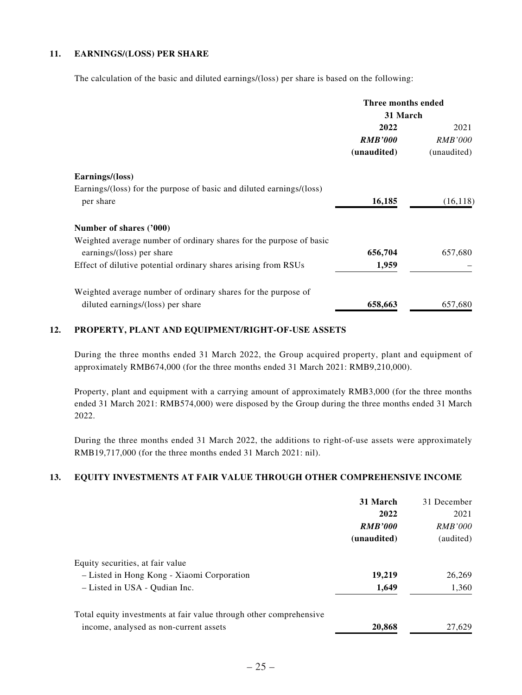### **11. EARNINGS/(LOSS) PER SHARE**

The calculation of the basic and diluted earnings/(loss) per share is based on the following:

|                                                                      | Three months ended |                |
|----------------------------------------------------------------------|--------------------|----------------|
|                                                                      | 31 March           |                |
|                                                                      | 2022               | 2021           |
|                                                                      | <b>RMB'000</b>     | <i>RMB'000</i> |
|                                                                      | (unaudited)        | (unaudited)    |
| Earnings/(loss)                                                      |                    |                |
| Earnings/(loss) for the purpose of basic and diluted earnings/(loss) |                    |                |
| per share                                                            | 16,185             | (16, 118)      |
| Number of shares ('000)                                              |                    |                |
| Weighted average number of ordinary shares for the purpose of basic  |                    |                |
| earnings/(loss) per share                                            | 656,704            | 657,680        |
| Effect of dilutive potential ordinary shares arising from RSUs       | 1,959              |                |
| Weighted average number of ordinary shares for the purpose of        |                    |                |
| diluted earnings/(loss) per share                                    | 658,663            | 657,680        |

### **12. PROPERTY, PLANT AND EQUIPMENT/RIGHT-OF-USE ASSETS**

During the three months ended 31 March 2022, the Group acquired property, plant and equipment of approximately RMB674,000 (for the three months ended 31 March 2021: RMB9,210,000).

Property, plant and equipment with a carrying amount of approximately RMB3,000 (for the three months ended 31 March 2021: RMB574,000) were disposed by the Group during the three months ended 31 March 2022.

During the three months ended 31 March 2022, the additions to right-of-use assets were approximately RMB19,717,000 (for the three months ended 31 March 2021: nil).

### **13. EQUITY INVESTMENTS AT FAIR VALUE THROUGH OTHER COMPREHENSIVE INCOME**

|                                                                    | 31 March       | 31 December    |
|--------------------------------------------------------------------|----------------|----------------|
|                                                                    | 2022           | 2021           |
|                                                                    | <b>RMB'000</b> | <b>RMB'000</b> |
|                                                                    | (unaudited)    | (audited)      |
| Equity securities, at fair value                                   |                |                |
| - Listed in Hong Kong - Xiaomi Corporation                         | 19,219         | 26,269         |
| - Listed in USA - Qudian Inc.                                      | 1,649          | 1,360          |
| Total equity investments at fair value through other comprehensive |                |                |
| income, analysed as non-current assets                             | 20,868         | 27,629         |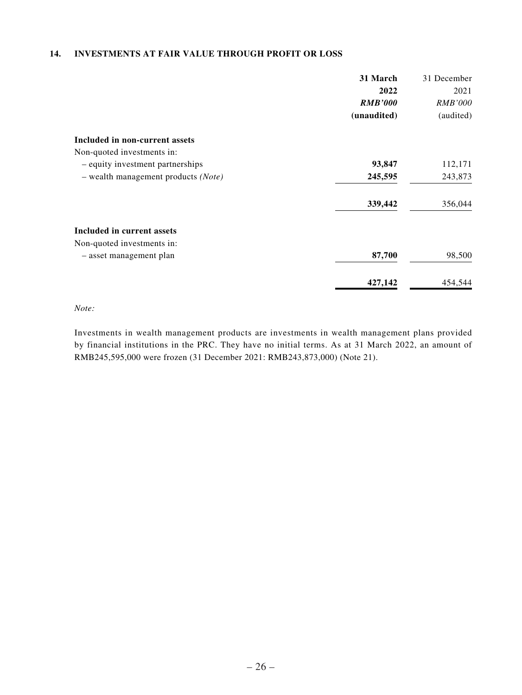### **14. INVESTMENTS AT FAIR VALUE THROUGH PROFIT OR LOSS**

|                                                | 31 March       | 31 December    |
|------------------------------------------------|----------------|----------------|
|                                                | 2022           | 2021           |
|                                                | <b>RMB'000</b> | <b>RMB'000</b> |
|                                                | (unaudited)    | (audited)      |
| Included in non-current assets                 |                |                |
| Non-quoted investments in:                     |                |                |
| - equity investment partnerships               | 93,847         | 112,171        |
| $-$ wealth management products ( <i>Note</i> ) | 245,595        | 243,873        |
|                                                | 339,442        | 356,044        |
| Included in current assets                     |                |                |
| Non-quoted investments in:                     |                |                |
| - asset management plan                        | 87,700         | 98,500         |
|                                                | 427,142        | 454,544        |

*Note:*

Investments in wealth management products are investments in wealth management plans provided by financial institutions in the PRC. They have no initial terms. As at 31 March 2022, an amount of RMB245,595,000 were frozen (31 December 2021: RMB243,873,000) (Note 21).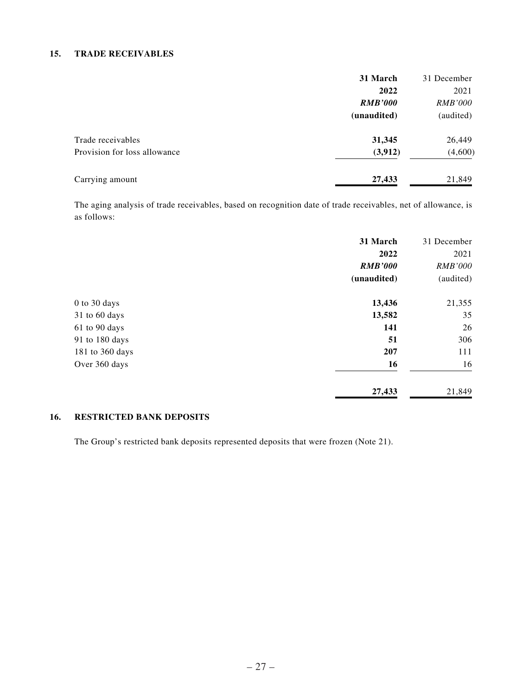#### **15. TRADE RECEIVABLES**

|                              | 31 March       | 31 December    |
|------------------------------|----------------|----------------|
|                              | 2022           | 2021           |
|                              | <b>RMB'000</b> | <i>RMB'000</i> |
|                              | (unaudited)    | (audited)      |
| Trade receivables            | 31,345         | 26,449         |
| Provision for loss allowance | (3,912)        | (4,600)        |
| Carrying amount              | 27,433         | 21,849         |

The aging analysis of trade receivables, based on recognition date of trade receivables, net of allowance, is as follows:

|                 | 31 March       | 31 December    |
|-----------------|----------------|----------------|
|                 | 2022           | 2021           |
|                 | <b>RMB'000</b> | <b>RMB'000</b> |
|                 | (unaudited)    | (audited)      |
| 0 to 30 days    | 13,436         | 21,355         |
| 31 to 60 days   | 13,582         | 35             |
| 61 to 90 days   | 141            | 26             |
| 91 to 180 days  | 51             | 306            |
| 181 to 360 days | 207            | 111            |
| Over 360 days   | 16             | 16             |
|                 | 27,433         | 21,849         |

### **16. RESTRICTED BANK DEPOSITS**

The Group's restricted bank deposits represented deposits that were frozen (Note 21).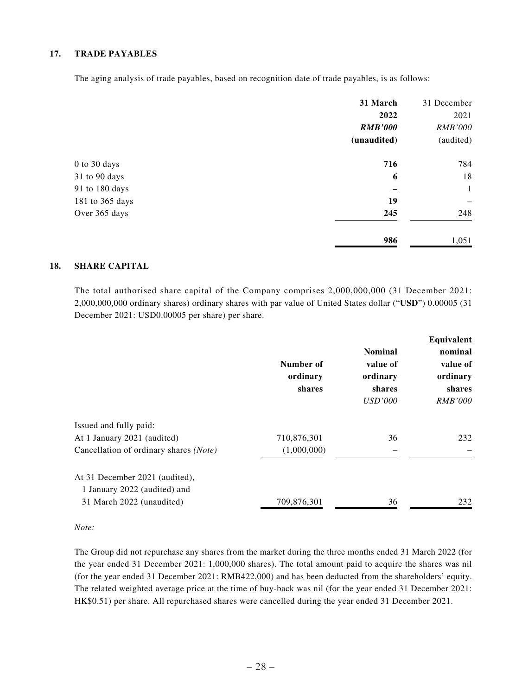### **17. TRADE PAYABLES**

The aging analysis of trade payables, based on recognition date of trade payables, is as follows:

|                 | 31 March<br>2022<br><b>RMB'000</b> | 31 December<br>2021<br><b>RMB'000</b> |
|-----------------|------------------------------------|---------------------------------------|
|                 | (unaudited)                        | (audited)                             |
| 0 to 30 days    | 716                                | 784                                   |
| 31 to 90 days   | 6                                  | 18                                    |
| 91 to 180 days  |                                    | $\mathbf{1}$                          |
| 181 to 365 days | 19                                 |                                       |
| Over 365 days   | 245                                | 248                                   |
|                 | 986                                | 1,051                                 |

#### **18. SHARE CAPITAL**

The total authorised share capital of the Company comprises 2,000,000,000 (31 December 2021: 2,000,000,000 ordinary shares) ordinary shares with par value of United States dollar ("**USD**") 0.00005 (31 December 2021: USD0.00005 per share) per share.

|                                        | Number of<br>ordinary<br>shares | <b>Nominal</b><br>value of<br>ordinary<br>shares<br><b>USD'000</b> | Equivalent<br>nominal<br>value of<br>ordinary<br>shares<br><i>RMB'000</i> |
|----------------------------------------|---------------------------------|--------------------------------------------------------------------|---------------------------------------------------------------------------|
| Issued and fully paid:                 |                                 |                                                                    |                                                                           |
| At 1 January 2021 (audited)            | 710,876,301                     | 36                                                                 | 232                                                                       |
| Cancellation of ordinary shares (Note) | (1,000,000)                     |                                                                    |                                                                           |
| At 31 December 2021 (audited),         |                                 |                                                                    |                                                                           |
| 1 January 2022 (audited) and           |                                 |                                                                    |                                                                           |
| 31 March 2022 (unaudited)              | 709,876,301                     | 36                                                                 | 232                                                                       |

*Note:*

The Group did not repurchase any shares from the market during the three months ended 31 March 2022 (for the year ended 31 December 2021: 1,000,000 shares). The total amount paid to acquire the shares was nil (for the year ended 31 December 2021: RMB422,000) and has been deducted from the shareholders' equity. The related weighted average price at the time of buy-back was nil (for the year ended 31 December 2021: HK\$0.51) per share. All repurchased shares were cancelled during the year ended 31 December 2021.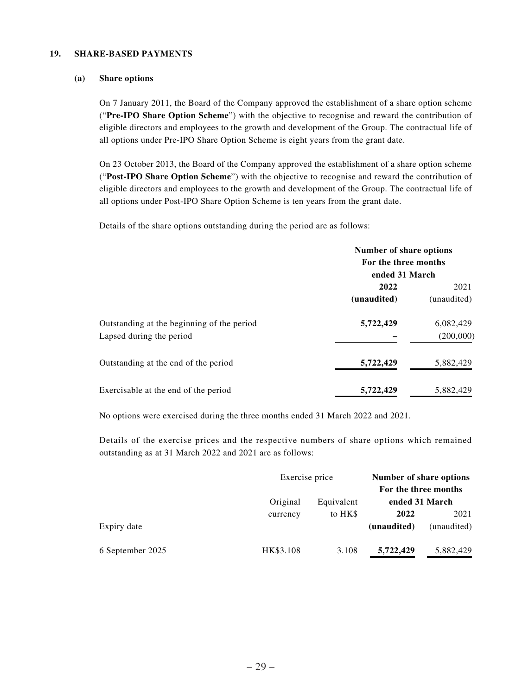### **19. SHARE-BASED PAYMENTS**

#### **(a) Share options**

On 7 January 2011, the Board of the Company approved the establishment of a share option scheme ("**Pre-IPO Share Option Scheme**") with the objective to recognise and reward the contribution of eligible directors and employees to the growth and development of the Group. The contractual life of all options under Pre-IPO Share Option Scheme is eight years from the grant date.

On 23 October 2013, the Board of the Company approved the establishment of a share option scheme ("**Post-IPO Share Option Scheme**") with the objective to recognise and reward the contribution of eligible directors and employees to the growth and development of the Group. The contractual life of all options under Post-IPO Share Option Scheme is ten years from the grant date.

Details of the share options outstanding during the period are as follows:

|                                            | Number of share options |             |  |
|--------------------------------------------|-------------------------|-------------|--|
|                                            | For the three months    |             |  |
|                                            | ended 31 March          |             |  |
|                                            | 2022                    | 2021        |  |
|                                            | (unaudited)             | (unaudited) |  |
| Outstanding at the beginning of the period | 5,722,429               | 6,082,429   |  |
| Lapsed during the period                   |                         | (200,000)   |  |
| Outstanding at the end of the period       | 5,722,429               | 5,882,429   |  |
| Exercisable at the end of the period       | 5,722,429               | 5,882,429   |  |

No options were exercised during the three months ended 31 March 2022 and 2021.

Details of the exercise prices and the respective numbers of share options which remained outstanding as at 31 March 2022 and 2021 are as follows:

|                  |           | Exercise price |                      | Number of share options |  |
|------------------|-----------|----------------|----------------------|-------------------------|--|
|                  |           |                | For the three months |                         |  |
|                  | Original  | Equivalent     | ended 31 March       |                         |  |
|                  | currency  | to HKS         | 2022                 | 2021                    |  |
| Expiry date      |           |                | (unaudited)          | (unaudited)             |  |
| 6 September 2025 | HK\$3.108 | 3.108          | 5,722,429            | 5,882,429               |  |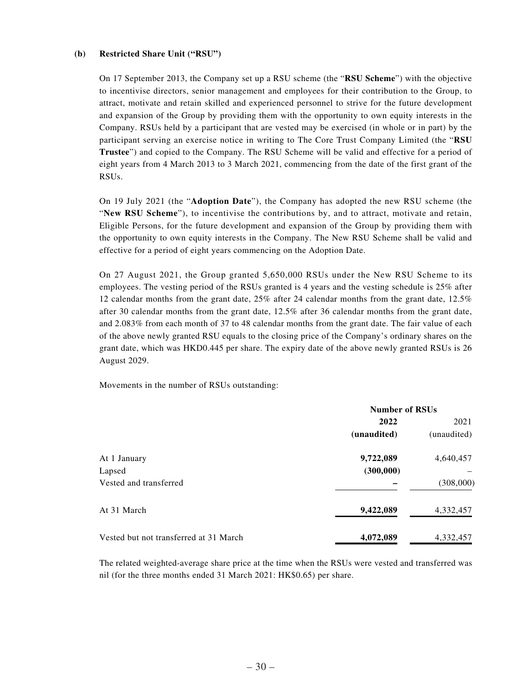#### **(b) Restricted Share Unit ("RSU")**

On 17 September 2013, the Company set up a RSU scheme (the "**RSU Scheme**") with the objective to incentivise directors, senior management and employees for their contribution to the Group, to attract, motivate and retain skilled and experienced personnel to strive for the future development and expansion of the Group by providing them with the opportunity to own equity interests in the Company. RSUs held by a participant that are vested may be exercised (in whole or in part) by the participant serving an exercise notice in writing to The Core Trust Company Limited (the "**RSU Trustee**") and copied to the Company. The RSU Scheme will be valid and effective for a period of eight years from 4 March 2013 to 3 March 2021, commencing from the date of the first grant of the RSUs.

On 19 July 2021 (the "**Adoption Date**"), the Company has adopted the new RSU scheme (the "**New RSU Scheme**"), to incentivise the contributions by, and to attract, motivate and retain, Eligible Persons, for the future development and expansion of the Group by providing them with the opportunity to own equity interests in the Company. The New RSU Scheme shall be valid and effective for a period of eight years commencing on the Adoption Date.

On 27 August 2021, the Group granted 5,650,000 RSUs under the New RSU Scheme to its employees. The vesting period of the RSUs granted is 4 years and the vesting schedule is 25% after 12 calendar months from the grant date, 25% after 24 calendar months from the grant date, 12.5% after 30 calendar months from the grant date, 12.5% after 36 calendar months from the grant date, and 2.083% from each month of 37 to 48 calendar months from the grant date. The fair value of each of the above newly granted RSU equals to the closing price of the Company's ordinary shares on the grant date, which was HKD0.445 per share. The expiry date of the above newly granted RSUs is 26 August 2029.

Movements in the number of RSUs outstanding:

|                                        | <b>Number of RSUs</b> |             |  |
|----------------------------------------|-----------------------|-------------|--|
|                                        | 2022                  | 2021        |  |
|                                        | (unaudited)           | (unaudited) |  |
| At 1 January                           | 9,722,089             | 4,640,457   |  |
| Lapsed                                 | (300,000)             |             |  |
| Vested and transferred                 |                       | (308,000)   |  |
| At 31 March                            | 9,422,089             | 4,332,457   |  |
| Vested but not transferred at 31 March | 4,072,089             | 4,332,457   |  |

The related weighted-average share price at the time when the RSUs were vested and transferred was nil (for the three months ended 31 March 2021: HK\$0.65) per share.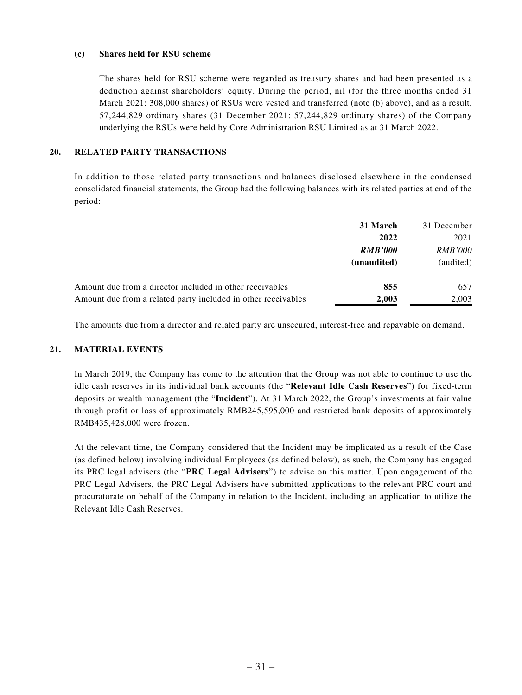#### **(c) Shares held for RSU scheme**

The shares held for RSU scheme were regarded as treasury shares and had been presented as a deduction against shareholders' equity. During the period, nil (for the three months ended 31 March 2021: 308,000 shares) of RSUs were vested and transferred (note (b) above), and as a result, 57,244,829 ordinary shares (31 December 2021: 57,244,829 ordinary shares) of the Company underlying the RSUs were held by Core Administration RSU Limited as at 31 March 2022.

#### **20. RELATED PARTY TRANSACTIONS**

In addition to those related party transactions and balances disclosed elsewhere in the condensed consolidated financial statements, the Group had the following balances with its related parties at end of the period:

|                                                               | 31 March       | 31 December    |
|---------------------------------------------------------------|----------------|----------------|
|                                                               | 2022           | 2021           |
|                                                               | <b>RMB'000</b> | <i>RMB'000</i> |
|                                                               | (unaudited)    | (audited)      |
| Amount due from a director included in other receivables      | 855            | 657            |
| Amount due from a related party included in other receivables | 2.003          | 2,003          |

The amounts due from a director and related party are unsecured, interest-free and repayable on demand.

#### **21. MATERIAL EVENTS**

In March 2019, the Company has come to the attention that the Group was not able to continue to use the idle cash reserves in its individual bank accounts (the "**Relevant Idle Cash Reserves**") for fixed-term deposits or wealth management (the "**Incident**"). At 31 March 2022, the Group's investments at fair value through profit or loss of approximately RMB245,595,000 and restricted bank deposits of approximately RMB435,428,000 were frozen.

At the relevant time, the Company considered that the Incident may be implicated as a result of the Case (as defined below) involving individual Employees (as defined below), as such, the Company has engaged its PRC legal advisers (the "**PRC Legal Advisers**") to advise on this matter. Upon engagement of the PRC Legal Advisers, the PRC Legal Advisers have submitted applications to the relevant PRC court and procuratorate on behalf of the Company in relation to the Incident, including an application to utilize the Relevant Idle Cash Reserves.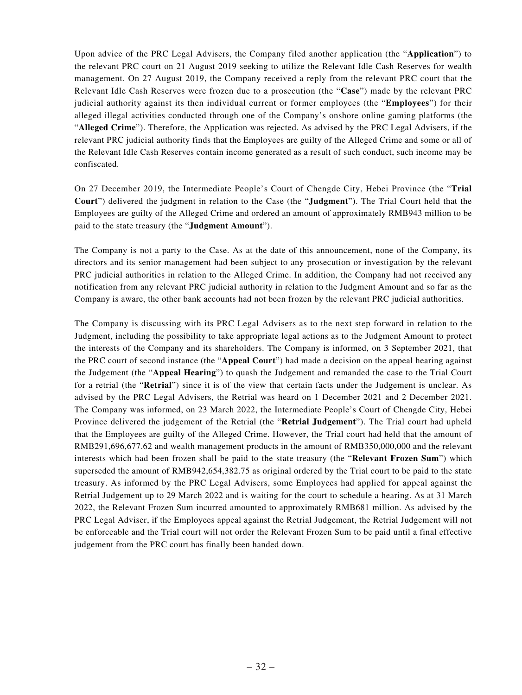Upon advice of the PRC Legal Advisers, the Company filed another application (the "**Application**") to the relevant PRC court on 21 August 2019 seeking to utilize the Relevant Idle Cash Reserves for wealth management. On 27 August 2019, the Company received a reply from the relevant PRC court that the Relevant Idle Cash Reserves were frozen due to a prosecution (the "**Case**") made by the relevant PRC judicial authority against its then individual current or former employees (the "**Employees**") for their alleged illegal activities conducted through one of the Company's onshore online gaming platforms (the "**Alleged Crime**"). Therefore, the Application was rejected. As advised by the PRC Legal Advisers, if the relevant PRC judicial authority finds that the Employees are guilty of the Alleged Crime and some or all of the Relevant Idle Cash Reserves contain income generated as a result of such conduct, such income may be confiscated.

On 27 December 2019, the Intermediate People's Court of Chengde City, Hebei Province (the "**Trial Court**") delivered the judgment in relation to the Case (the "**Judgment**"). The Trial Court held that the Employees are guilty of the Alleged Crime and ordered an amount of approximately RMB943 million to be paid to the state treasury (the "**Judgment Amount**").

The Company is not a party to the Case. As at the date of this announcement, none of the Company, its directors and its senior management had been subject to any prosecution or investigation by the relevant PRC judicial authorities in relation to the Alleged Crime. In addition, the Company had not received any notification from any relevant PRC judicial authority in relation to the Judgment Amount and so far as the Company is aware, the other bank accounts had not been frozen by the relevant PRC judicial authorities.

The Company is discussing with its PRC Legal Advisers as to the next step forward in relation to the Judgment, including the possibility to take appropriate legal actions as to the Judgment Amount to protect the interests of the Company and its shareholders. The Company is informed, on 3 September 2021, that the PRC court of second instance (the "**Appeal Court**") had made a decision on the appeal hearing against the Judgement (the "**Appeal Hearing**") to quash the Judgement and remanded the case to the Trial Court for a retrial (the "**Retrial**") since it is of the view that certain facts under the Judgement is unclear. As advised by the PRC Legal Advisers, the Retrial was heard on 1 December 2021 and 2 December 2021. The Company was informed, on 23 March 2022, the Intermediate People's Court of Chengde City, Hebei Province delivered the judgement of the Retrial (the "**Retrial Judgement**"). The Trial court had upheld that the Employees are guilty of the Alleged Crime. However, the Trial court had held that the amount of RMB291,696,677.62 and wealth management products in the amount of RMB350,000,000 and the relevant interests which had been frozen shall be paid to the state treasury (the "**Relevant Frozen Sum**") which superseded the amount of RMB942,654,382.75 as original ordered by the Trial court to be paid to the state treasury. As informed by the PRC Legal Advisers, some Employees had applied for appeal against the Retrial Judgement up to 29 March 2022 and is waiting for the court to schedule a hearing. As at 31 March 2022, the Relevant Frozen Sum incurred amounted to approximately RMB681 million. As advised by the PRC Legal Adviser, if the Employees appeal against the Retrial Judgement, the Retrial Judgement will not be enforceable and the Trial court will not order the Relevant Frozen Sum to be paid until a final effective judgement from the PRC court has finally been handed down.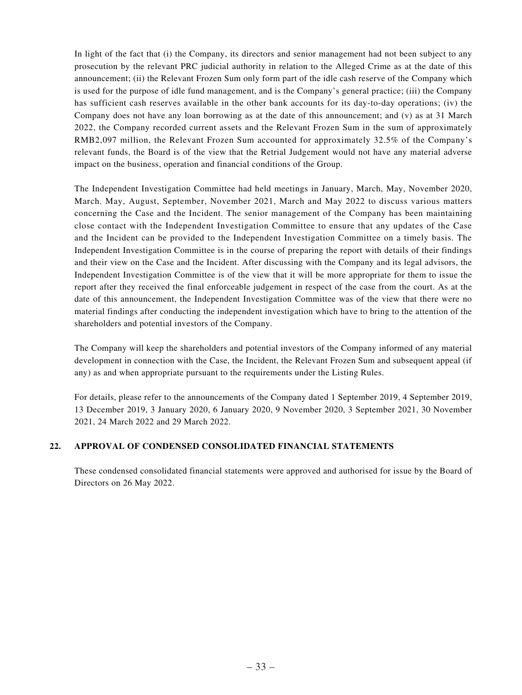In light of the fact that (i) the Company, its directors and senior management had not been subject to any prosecution by the relevant PRC judicial authority in relation to the Alleged Crime as at the date of this announcement; (ii) the Relevant Frozen Sum only form part of the idle cash reserve of the Company which is used for the purpose of idle fund management, and is the Company's general practice; (iii) the Company has sufficient cash reserves available in the other bank accounts for its day-to-day operations; (iv) the Company does not have any loan borrowing as at the date of this announcement; and (v) as at 31 March 2022, the Company recorded current assets and the Relevant Frozen Sum in the sum of approximately RMB2,097 million, the Relevant Frozen Sum accounted for approximately 32.5% of the Company's relevant funds, the Board is of the view that the Retrial Judgement would not have any material adverse impact on the business, operation and financial conditions of the Group.

The Independent Investigation Committee had held meetings in January, March, May, November 2020, March, May, August, September, November 2021, March and May 2022 to discuss various matters concerning the Case and the Incident. The senior management of the Company has been maintaining close contact with the Independent Investigation Committee to ensure that any updates of the Case and the Incident can be provided to the Independent Investigation Committee on a timely basis. The Independent Investigation Committee is in the course of preparing the report with details of their findings and their view on the Case and the Incident. After discussing with the Company and its legal advisors, the Independent Investigation Committee is of the view that it will be more appropriate for them to issue the report after they received the final enforceable judgement in respect of the case from the court. As at the date of this announcement, the Independent Investigation Committee was of the view that there were no material findings after conducting the independent investigation which have to bring to the attention of the shareholders and potential investors of the Company.

The Company will keep the shareholders and potential investors of the Company informed of any material development in connection with the Case, the Incident, the Relevant Frozen Sum and subsequent appeal (if any) as and when appropriate pursuant to the requirements under the Listing Rules.

For details, please refer to the announcements of the Company dated 1 September 2019, 4 September 2019, 13 December 2019, 3 January 2020, 6 January 2020, 9 November 2020, 3 September 2021, 30 November 2021, 24 March 2022 and 29 March 2022.

### **22. APPROVAL OF CONDENSED CONSOLIDATED FINANCIAL STATEMENTS**

These condensed consolidated financial statements were approved and authorised for issue by the Board of Directors on 26 May 2022.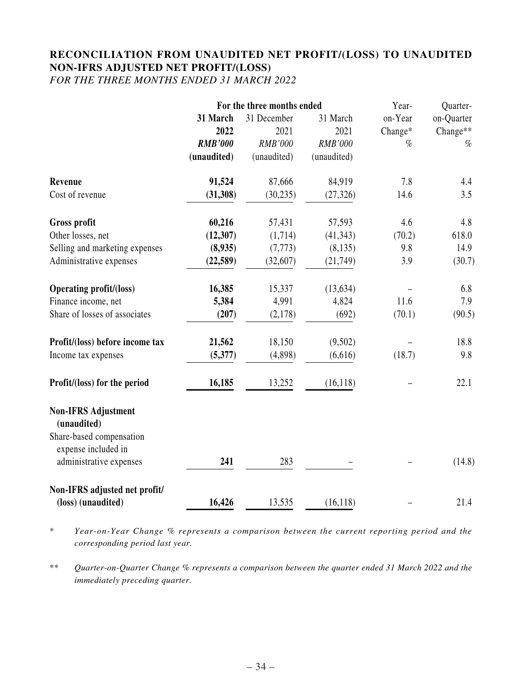# **RECONCILIATION FROM UNAUDITED NET PROFIT/(LOSS) TO UNAUDITED NON-IFRS ADJUSTED NET PROFIT/(LOSS)**

*FOR THE THREE MONTHS ENDED 31 MARCH 2022*

|                                                 | For the three months ended |             |                | Year-   | Quarter-   |
|-------------------------------------------------|----------------------------|-------------|----------------|---------|------------|
|                                                 | 31 March                   | 31 December | 31 March       | on-Year | on-Quarter |
|                                                 | 2022                       | 2021        | 2021           | Change* | Change**   |
|                                                 | <b>RMB'000</b>             | RMB'000     | <b>RMB'000</b> | %       | $\%$       |
|                                                 | (unaudited)                | (unaudited) | (unaudited)    |         |            |
| Revenue                                         | 91,524                     | 87,666      | 84,919         | 7.8     | 4.4        |
| Cost of revenue                                 | (31, 308)                  | (30, 235)   | (27, 326)      | 14.6    | 3.5        |
| Gross profit                                    | 60,216                     | 57,431      | 57,593         | 4.6     | 4.8        |
| Other losses, net                               | (12, 307)                  | (1,714)     | (41, 343)      | (70.2)  | 618.0      |
| Selling and marketing expenses                  | (8,935)                    | (7, 773)    | (8, 135)       | 9.8     | 14.9       |
| Administrative expenses                         | (22, 589)                  | (32,607)    | (21, 749)      | 3.9     | (30.7)     |
| <b>Operating profit/(loss)</b>                  | 16,385                     | 15,337      | (13, 634)      |         | 6.8        |
| Finance income, net                             | 5,384                      | 4,991       | 4,824          | 11.6    | 7.9        |
| Share of losses of associates                   | (207)                      | (2,178)     | (692)          | (70.1)  | (90.5)     |
| Profit/(loss) before income tax                 | 21,562                     | 18,150      | (9,502)        |         | 18.8       |
| Income tax expenses                             | (5,377)                    | (4,898)     | (6,616)        | (18.7)  | 9.8        |
| Profit/(loss) for the period                    | 16,185                     | 13,252      | (16, 118)      |         | 22.1       |
| <b>Non-IFRS Adjustment</b><br>(unaudited)       |                            |             |                |         |            |
| Share-based compensation<br>expense included in |                            |             |                |         |            |
| administrative expenses                         | 241                        | 283         |                |         | (14.8)     |
| Non-IFRS adjusted net profit/                   |                            |             |                |         |            |
| (loss) (unaudited)                              | 16,426                     | 13,535      | (16, 118)      |         | 21.4       |

\* *Year-on-Year Change % represents a comparison between the current reporting period and the corresponding period last year.*

\*\* *Quarter-on-Quarter Change % represents a comparison between the quarter ended 31 March 2022 and the immediately preceding quarter.*